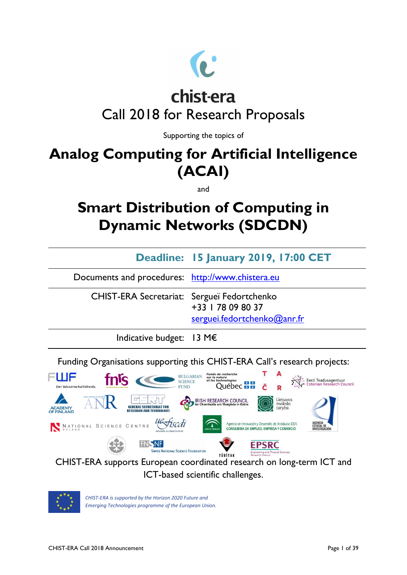

# chist-era Call 2018 for Research Proposals

Supporting the topics of

## **Analog Computing for Artificial Intelligence (ACAI)**

and

## **Smart Distribution of Computing in Dynamic Networks (SDCDN)**

|                                                  | Deadline: 15 January 2019, 17:00 CET             |
|--------------------------------------------------|--------------------------------------------------|
| Documents and procedures: http://www.chistera.eu |                                                  |
| CHIST-ERA Secretariat: Sergueï Fedortchenko      | +33   78 09 80 37<br>serguei.fedortchenko@anr.fr |
| Indicative budget: 13 M $\epsilon$               |                                                  |

Funding Organisations supporting this CHIST-ERA Call's research projects:





*CHIST-ERA is supported by the Horizon 2020 Future and Emerging Technologies programme of the European Union.*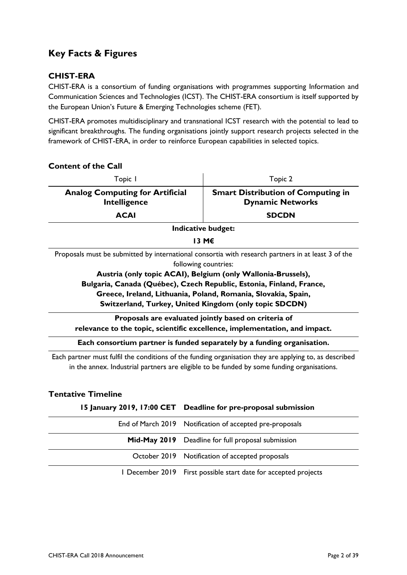### <span id="page-1-0"></span>**Key Facts & Figures**

### **CHIST-ERA**

CHIST-ERA is a consortium of funding organisations with programmes supporting Information and Communication Sciences and Technologies (ICST). The CHIST-ERA consortium is itself supported by the European Union's Future & Emerging Technologies scheme (FET).

CHIST-ERA promotes multidisciplinary and transnational ICST research with the potential to lead to significant breakthroughs. The funding organisations jointly support research projects selected in the framework of CHIST-ERA, in order to reinforce European capabilities in selected topics.

| <b>Content of the Call</b>                                                                                                                                                                                                                                                                                                                                                                    |                                                                      |  |  |
|-----------------------------------------------------------------------------------------------------------------------------------------------------------------------------------------------------------------------------------------------------------------------------------------------------------------------------------------------------------------------------------------------|----------------------------------------------------------------------|--|--|
| Topic I                                                                                                                                                                                                                                                                                                                                                                                       | Topic 2                                                              |  |  |
| <b>Analog Computing for Artificial</b><br>Intelligence                                                                                                                                                                                                                                                                                                                                        | <b>Smart Distribution of Computing in</b><br><b>Dynamic Networks</b> |  |  |
| <b>ACAI</b>                                                                                                                                                                                                                                                                                                                                                                                   | <b>SDCDN</b>                                                         |  |  |
|                                                                                                                                                                                                                                                                                                                                                                                               | Indicative budget:                                                   |  |  |
|                                                                                                                                                                                                                                                                                                                                                                                               | 13 M€                                                                |  |  |
| Proposals must be submitted by international consortia with research partners in at least 3 of the<br>following countries:<br>Austria (only topic ACAI), Belgium (only Wallonia-Brussels),<br>Bulgaria, Canada (Québec), Czech Republic, Estonia, Finland, France,<br>Greece, Ireland, Lithuania, Poland, Romania, Slovakia, Spain,<br>Switzerland, Turkey, United Kingdom (only topic SDCDN) |                                                                      |  |  |
| Proposals are evaluated jointly based on criteria of<br>relevance to the topic, scientific excellence, implementation, and impact.                                                                                                                                                                                                                                                            |                                                                      |  |  |
| Each consortium partner is funded separately by a funding organisation.                                                                                                                                                                                                                                                                                                                       |                                                                      |  |  |
| Each partner must fulfil the conditions of the funding organisation they are applying to, as described<br>in the annex. Industrial partners are eligible to be funded by some funding organisations.                                                                                                                                                                                          |                                                                      |  |  |

### **Tentative Timeline**

#### **15 January 2019, 17:00 CET Deadline for pre-proposal submission**

| End of March 2019 Notification of accepted pre-proposals        |  |
|-----------------------------------------------------------------|--|
| Mid-May 2019 Deadline for full proposal submission              |  |
| October 2019 Notification of accepted proposals                 |  |
| I December 2019 First possible start date for accepted projects |  |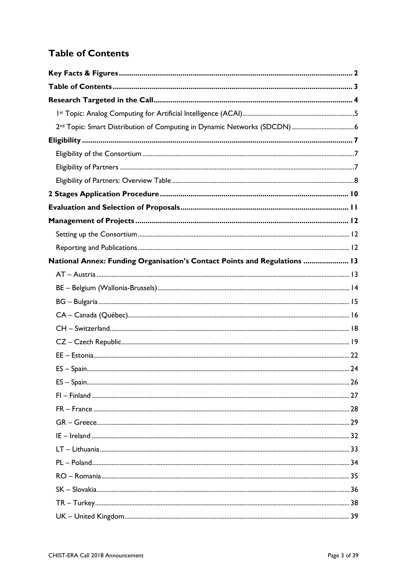## <span id="page-2-0"></span>**Table of Contents**

| 2 <sup>nd</sup> Topic: Smart Distribution of Computing in Dynamic Networks (SDCDN) 6 |  |
|--------------------------------------------------------------------------------------|--|
|                                                                                      |  |
|                                                                                      |  |
|                                                                                      |  |
|                                                                                      |  |
|                                                                                      |  |
|                                                                                      |  |
|                                                                                      |  |
|                                                                                      |  |
|                                                                                      |  |
| National Annex: Funding Organisation's Contact Points and Regulations  13            |  |
|                                                                                      |  |
|                                                                                      |  |
|                                                                                      |  |
|                                                                                      |  |
|                                                                                      |  |
|                                                                                      |  |
|                                                                                      |  |
|                                                                                      |  |
|                                                                                      |  |
|                                                                                      |  |
|                                                                                      |  |
|                                                                                      |  |
|                                                                                      |  |
|                                                                                      |  |
|                                                                                      |  |
|                                                                                      |  |
|                                                                                      |  |
|                                                                                      |  |
|                                                                                      |  |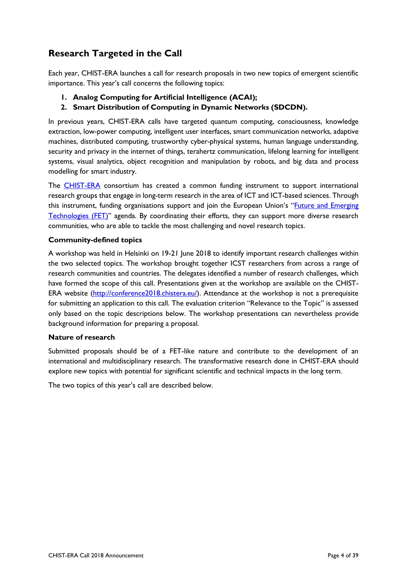### <span id="page-3-0"></span>**Research Targeted in the Call**

Each year, CHIST-ERA launches a call for research proposals in two new topics of emergent scientific importance. This year's call concerns the following topics:

- **1. Analog Computing for Artificial Intelligence (ACAI);**
- **2. Smart Distribution of Computing in Dynamic Networks (SDCDN).**

In previous years, CHIST-ERA calls have targeted quantum computing, consciousness, knowledge extraction, low-power computing, intelligent user interfaces, smart communication networks, adaptive machines, distributed computing, trustworthy cyber-physical systems, human language understanding, security and privacy in the internet of things, terahertz communication, lifelong learning for intelligent systems, visual analytics, object recognition and manipulation by robots, and big data and process modelling for smart industry.

The [CHIST-ERA](http://www.chistera.eu/) consortium has created a common funding instrument to support international research groups that engage in long-term research in the area of ICT and ICT-based sciences. Through this instrument, funding organisations support and join the European Union's "[Future and Emerging](https://ec.europa.eu/programmes/horizon2020/en/h2020-section/future-and-emerging-technologies)  [Technologies](https://ec.europa.eu/programmes/horizon2020/en/h2020-section/future-and-emerging-technologies) (FET)" agenda. By coordinating their efforts, they can support more diverse research communities, who are able to tackle the most challenging and novel research topics.

#### **Community-defined topics**

A workshop was held in Helsinki on 19-21 June 2018 to identify important research challenges within the two selected topics. The workshop brought together ICST researchers from across a range of research communities and countries. The delegates identified a number of research challenges, which have formed the scope of this call. Presentations given at the workshop are available on the CHIST-ERA website [\(http://conference2018.chistera.eu/\)](http://conference2018.chistera.eu/). Attendance at the workshop is not a prerequisite for submitting an application to this call. The evaluation criterion "Relevance to the Topic" is assessed only based on the topic descriptions below. The workshop presentations can nevertheless provide background information for preparing a proposal.

#### **Nature of research**

Submitted proposals should be of a FET-like nature and contribute to the development of an international and multidisciplinary research. The transformative research done in CHIST-ERA should explore new topics with potential for significant scientific and technical impacts in the long term.

The two topics of this year's call are described below.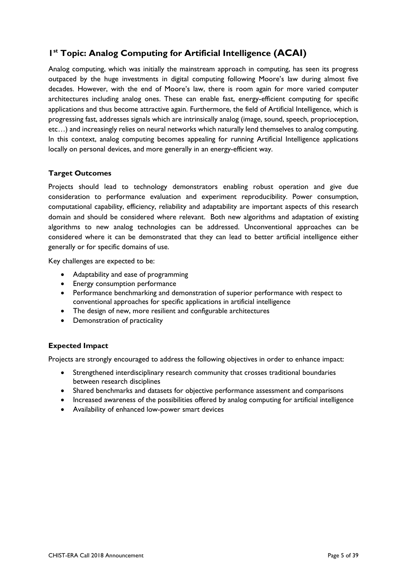### <span id="page-4-0"></span>**1 st Topic: Analog Computing for Artificial Intelligence (ACAI)**

Analog computing, which was initially the mainstream approach in computing, has seen its progress outpaced by the huge investments in digital computing following Moore's law during almost five decades. However, with the end of Moore's law, there is room again for more varied computer architectures including analog ones. These can enable fast, energy-efficient computing for specific applications and thus become attractive again. Furthermore, the field of Artificial Intelligence, which is progressing fast, addresses signals which are intrinsically analog (image, sound, speech, proprioception, etc…) and increasingly relies on neural networks which naturally lend themselves to analog computing. In this context, analog computing becomes appealing for running Artificial Intelligence applications locally on personal devices, and more generally in an energy-efficient way.

### **Target Outcomes**

Projects should lead to technology demonstrators enabling robust operation and give due consideration to performance evaluation and experiment reproducibility. Power consumption, computational capability, efficiency, reliability and adaptability are important aspects of this research domain and should be considered where relevant. Both new algorithms and adaptation of existing algorithms to new analog technologies can be addressed. Unconventional approaches can be considered where it can be demonstrated that they can lead to better artificial intelligence either generally or for specific domains of use.

Key challenges are expected to be:

- Adaptability and ease of programming
- **•** Energy consumption performance
- Performance benchmarking and demonstration of superior performance with respect to conventional approaches for specific applications in artificial intelligence
- The design of new, more resilient and configurable architectures
- Demonstration of practicality

#### **Expected Impact**

Projects are strongly encouraged to address the following objectives in order to enhance impact:

- Strengthened interdisciplinary research community that crosses traditional boundaries between research disciplines
- Shared benchmarks and datasets for objective performance assessment and comparisons
- Increased awareness of the possibilities offered by analog computing for artificial intelligence
- Availability of enhanced low-power smart devices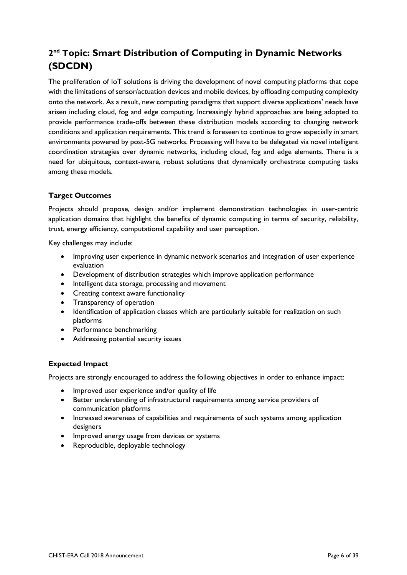## <span id="page-5-0"></span>**2 nd Topic: Smart Distribution of Computing in Dynamic Networks (SDCDN)**

The proliferation of IoT solutions is driving the development of novel computing platforms that cope with the limitations of sensor/actuation devices and mobile devices, by offloading computing complexity onto the network. As a result, new computing paradigms that support diverse applications' needs have arisen including cloud, fog and edge computing. Increasingly hybrid approaches are being adopted to provide performance trade-offs between these distribution models according to changing network conditions and application requirements. This trend is foreseen to continue to grow especially in smart environments powered by post-5G networks. Processing will have to be delegated via novel intelligent coordination strategies over dynamic networks, including cloud, fog and edge elements. There is a need for ubiquitous, context-aware, robust solutions that dynamically orchestrate computing tasks among these models.

### **Target Outcomes**

Projects should propose, design and/or implement demonstration technologies in user-centric application domains that highlight the benefits of dynamic computing in terms of security, reliability, trust, energy efficiency, computational capability and user perception.

Key challenges may include:

- Improving user experience in dynamic network scenarios and integration of user experience evaluation
- Development of distribution strategies which improve application performance
- Intelligent data storage, processing and movement
- Creating context aware functionality
- Transparency of operation
- Identification of application classes which are particularly suitable for realization on such platforms
- Performance benchmarking
- Addressing potential security issues

#### **Expected Impact**

Projects are strongly encouraged to address the following objectives in order to enhance impact:

- Improved user experience and/or quality of life
- Better understanding of infrastructural requirements among service providers of communication platforms
- Increased awareness of capabilities and requirements of such systems among application designers
- Improved energy usage from devices or systems
- Reproducible, deployable technology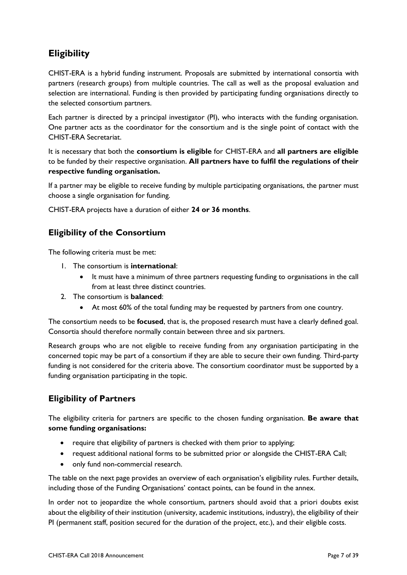### <span id="page-6-0"></span>**Eligibility**

CHIST-ERA is a hybrid funding instrument. Proposals are submitted by international consortia with partners (research groups) from multiple countries. The call as well as the proposal evaluation and selection are international. Funding is then provided by participating funding organisations directly to the selected consortium partners.

Each partner is directed by a principal investigator (PI), who interacts with the funding organisation. One partner acts as the coordinator for the consortium and is the single point of contact with the CHIST-ERA Secretariat.

It is necessary that both the **consortium is eligible** for CHIST-ERA and **all partners are eligible** to be funded by their respective organisation. **All partners have to fulfil the regulations of their respective funding organisation.**

If a partner may be eligible to receive funding by multiple participating organisations, the partner must choose a single organisation for funding.

CHIST-ERA projects have a duration of either **24 or 36 months**.

### <span id="page-6-1"></span>**Eligibility of the Consortium**

The following criteria must be met:

- 1. The consortium is **international**:
	- It must have a minimum of three partners requesting funding to organisations in the call from at least three distinct countries.
- 2. The consortium is **balanced**:
	- At most 60% of the total funding may be requested by partners from one country.

The consortium needs to be **focused**, that is, the proposed research must have a clearly defined goal. Consortia should therefore normally contain between three and six partners.

Research groups who are not eligible to receive funding from any organisation participating in the concerned topic may be part of a consortium if they are able to secure their own funding. Third-party funding is not considered for the criteria above. The consortium coordinator must be supported by a funding organisation participating in the topic.

### <span id="page-6-2"></span>**Eligibility of Partners**

The eligibility criteria for partners are specific to the chosen funding organisation. **Be aware that some funding organisations:**

- require that eligibility of partners is checked with them prior to applying;
- request additional national forms to be submitted prior or alongside the CHIST-ERA Call;
- only fund non-commercial research.

The table on the next page provides an overview of each organisation's eligibility rules. Further details, including those of the Funding Organisations' contact points, can be found in the annex.

In order not to jeopardize the whole consortium, partners should avoid that a priori doubts exist about the eligibility of their institution (university, academic institutions, industry), the eligibility of their PI (permanent staff, position secured for the duration of the project, etc.), and their eligible costs.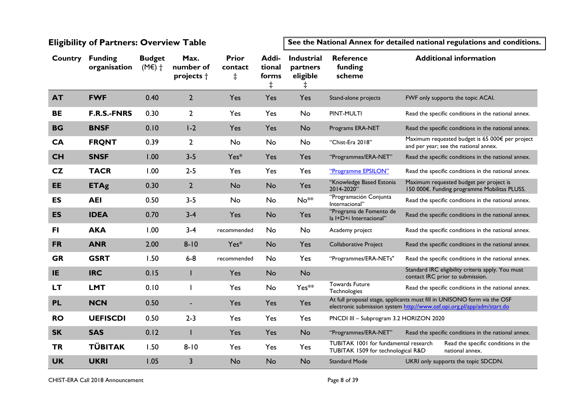### **Eligibility of Partners: Overview Table**

**See the National Annex for detailed national regulations and conditions.**

<span id="page-7-0"></span>

| <b>Country</b> | <b>Funding</b><br>organisation | <b>Budget</b><br>$(ME)$ + | Max.<br>number of<br>projects + | <b>Prior</b><br>contact<br>$\ddagger$ | Addi-<br>tional<br>forms<br>$\ddagger$ | <b>Industrial</b><br>partners<br>eligible<br>$\ddagger$ | <b>Reference</b><br>funding<br>scheme                                       | <b>Additional information</b>                                                                                                                       |
|----------------|--------------------------------|---------------------------|---------------------------------|---------------------------------------|----------------------------------------|---------------------------------------------------------|-----------------------------------------------------------------------------|-----------------------------------------------------------------------------------------------------------------------------------------------------|
| <b>AT</b>      | <b>FWF</b>                     | 0.40                      | $\overline{2}$                  | Yes                                   | Yes                                    | Yes                                                     | Stand-alone projects                                                        | FWF only supports the topic ACAI.                                                                                                                   |
| <b>BE</b>      | <b>F.R.S.-FNRS</b>             | 0.30                      | $\overline{2}$                  | Yes                                   | Yes                                    | No                                                      | PINT-MULTI                                                                  | Read the specific conditions in the national annex.                                                                                                 |
| <b>BG</b>      | <b>BNSF</b>                    | 0.10                      | $1-2$                           | Yes                                   | Yes                                    | <b>No</b>                                               | Programs ERA-NET                                                            | Read the specific conditions in the national annex.                                                                                                 |
| <b>CA</b>      | <b>FRQNT</b>                   | 0.39                      | $\overline{2}$                  | No                                    | <b>No</b>                              | <b>No</b>                                               | "Chist-Era 2018"                                                            | Maximum requested budget is 65 000€ per project<br>and per year; see the national annex.                                                            |
| <b>CH</b>      | <b>SNSF</b>                    | 1.00                      | $3 - 5$                         | Yes*                                  | Yes                                    | Yes                                                     | "Programmes/ERA-NET"                                                        | Read the specific conditions in the national annex.                                                                                                 |
| CZ             | <b>TACR</b>                    | 1.00                      | $2 - 5$                         | Yes                                   | Yes                                    | Yes                                                     | "Programme EPSILON"                                                         | Read the specific conditions in the national annex.                                                                                                 |
| <b>EE</b>      | <b>ETAg</b>                    | 0.30                      | $\overline{2}$                  | <b>No</b>                             | <b>No</b>                              | Yes                                                     | "Knowledge Based Estonia<br>2014-2020"                                      | Maximum requested budget per project is<br>150 000€. Funding programme Mobilitas PLUSS.                                                             |
| <b>ES</b>      | <b>AEI</b>                     | 0.50                      | $3 - 5$                         | No                                    | No                                     | No <sup>**</sup>                                        | "Programación Conjunta<br>Internacional"                                    | Read the specific conditions in the national annex.                                                                                                 |
| <b>ES</b>      | <b>IDEA</b>                    | 0.70                      | $3 - 4$                         | Yes                                   | <b>No</b>                              | Yes                                                     | "Programa de Fomento de<br>la I+D+i Internacional"                          | Read the specific conditions in the national annex.                                                                                                 |
| <b>FI</b>      | <b>AKA</b>                     | 1.00                      | $3-4$                           | recommended                           | No                                     | No                                                      | Academy project                                                             | Read the specific conditions in the national annex.                                                                                                 |
| <b>FR</b>      | <b>ANR</b>                     | 2.00                      | $8 - 10$                        | Yes*                                  | <b>No</b>                              | Yes                                                     | Collaborative Project                                                       | Read the specific conditions in the national annex.                                                                                                 |
| <b>GR</b>      | <b>GSRT</b>                    | 1.50                      | $6 - 8$                         | recommended                           | <b>No</b>                              | Yes                                                     | "Programmes/ERA-NETs"                                                       | Read the specific conditions in the national annex.                                                                                                 |
| IE             | <b>IRC</b>                     | 0.15                      |                                 | Yes                                   | <b>No</b>                              | <b>No</b>                                               |                                                                             | Standard IRC eligibility criteria apply. You must<br>contact IRC prior to submission.                                                               |
| <b>LT</b>      | <b>LMT</b>                     | 0.10                      |                                 | Yes                                   | <b>No</b>                              | Yes**                                                   | <b>Towards Future</b><br>Technologies                                       | Read the specific conditions in the national annex.                                                                                                 |
| <b>PL</b>      | <b>NCN</b>                     | 0.50                      |                                 | Yes                                   | Yes                                    | Yes                                                     |                                                                             | At full proposal stage, applicants must fill in UNISONO form via the OSF<br>electronic submission system http://www.osf.opi.org.pl/app/adm/start.do |
| <b>RO</b>      | <b>UEFISCDI</b>                | 0.50                      | $2 - 3$                         | Yes                                   | Yes                                    | Yes                                                     | PNCDI III - Subprogram 3.2 HORIZON 2020                                     |                                                                                                                                                     |
| <b>SK</b>      | <b>SAS</b>                     | 0.12                      |                                 | Yes                                   | Yes                                    | <b>No</b>                                               | "Programmes/ERA-NET"                                                        | Read the specific conditions in the national annex.                                                                                                 |
| <b>TR</b>      | <b>TÜBITAK</b>                 | 1.50                      | $8 - 10$                        | Yes                                   | Yes                                    | Yes                                                     | TUBITAK 1001 for fundamental research<br>TUBITAK 1509 for technological R&D | Read the specific conditions in the<br>national annex.                                                                                              |
| <b>UK</b>      | <b>UKRI</b>                    | 1.05                      | $\overline{3}$                  | <b>No</b>                             | <b>No</b>                              | <b>No</b>                                               | <b>Standard Mode</b>                                                        | UKRI only supports the topic SDCDN.                                                                                                                 |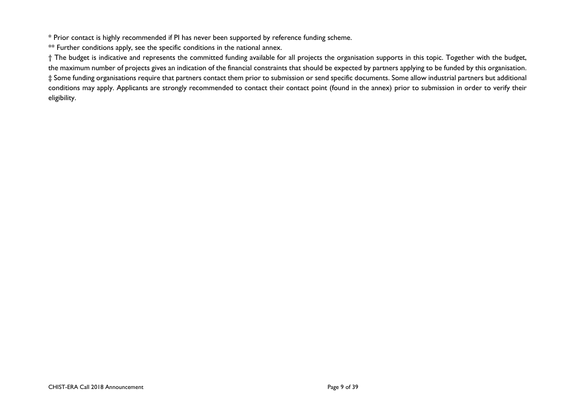\* Prior contact is highly recommended if PI has never been supported by reference funding scheme.

\*\* Further conditions apply, see the specific conditions in the national annex.

† The budget is indicative and represents the committed funding available for all projects the organisation supports in this topic. Together with the budget, the maximum number of projects gives an indication of the financial constraints that should be expected by partners applying to be funded by this organisation. ‡ Some funding organisations require that partners contact them prior to submission or send specific documents. Some allow industrial partners but additional conditions may apply. Applicants are strongly recommended to contact their contact point (found in the annex) prior to submission in order to verify their eligibility.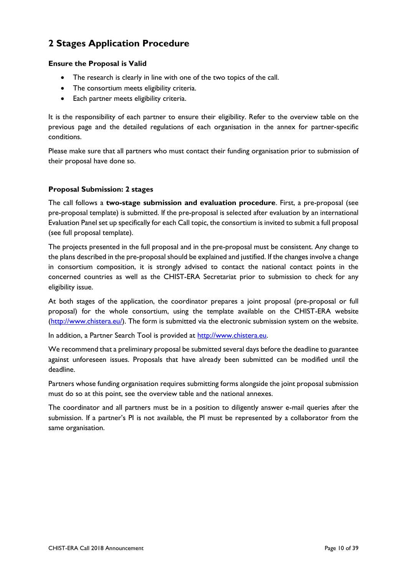### <span id="page-9-0"></span>**2 Stages Application Procedure**

#### **Ensure the Proposal is Valid**

- The research is clearly in line with one of the two topics of the call.
- The consortium meets eligibility criteria.
- Each partner meets eligibility criteria.

It is the responsibility of each partner to ensure their eligibility. Refer to the overview table on the previous page and the detailed regulations of each organisation in the annex for partner-specific conditions.

Please make sure that all partners who must contact their funding organisation prior to submission of their proposal have done so.

#### **Proposal Submission: 2 stages**

The call follows a **two-stage submission and evaluation procedure**. First, a pre-proposal (see pre-proposal template) is submitted. If the pre-proposal is selected after evaluation by an international Evaluation Panel set up specifically for each Call topic, the consortium is invited to submit a full proposal (see full proposal template).

The projects presented in the full proposal and in the pre-proposal must be consistent. Any change to the plans described in the pre-proposal should be explained and justified. If the changes involve a change in consortium composition, it is strongly advised to contact the national contact points in the concerned countries as well as the CHIST-ERA Secretariat prior to submission to check for any eligibility issue.

At both stages of the application, the coordinator prepares a joint proposal (pre-proposal or full proposal) for the whole consortium, using the template available on the CHIST-ERA website [\(http://www.chistera.eu/\)](http://www.chistera.eu/). The form is submitted via the electronic submission system on the website.

In addition, a Partner Search Tool is provided at [http://www.chistera.eu.](http://www.chistera.eu/)

We recommend that a preliminary proposal be submitted several days before the deadline to guarantee against unforeseen issues. Proposals that have already been submitted can be modified until the deadline.

Partners whose funding organisation requires submitting forms alongside the joint proposal submission must do so at this point, see the overview table and the national annexes.

The coordinator and all partners must be in a position to diligently answer e-mail queries after the submission. If a partner's PI is not available, the PI must be represented by a collaborator from the same organisation.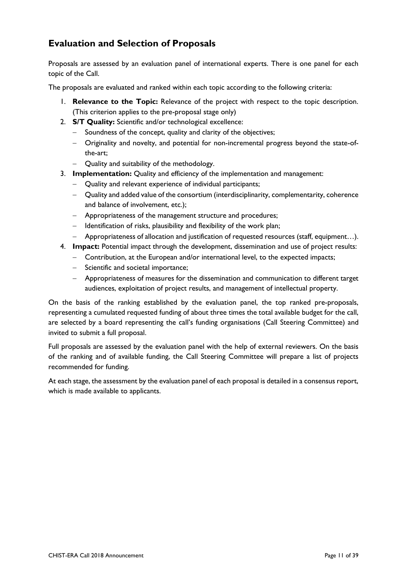### <span id="page-10-0"></span>**Evaluation and Selection of Proposals**

Proposals are assessed by an evaluation panel of international experts. There is one panel for each topic of the Call.

The proposals are evaluated and ranked within each topic according to the following criteria:

- 1. **Relevance to the Topic:** Relevance of the project with respect to the topic description. (This criterion applies to the pre-proposal stage only)
- 2. **S/T Quality:** Scientific and/or technological excellence:
	- Soundness of the concept, quality and clarity of the objectives;
	- Originality and novelty, and potential for non-incremental progress beyond the state-ofthe-art;
	- Quality and suitability of the methodology.
- 3. **Implementation:** Quality and efficiency of the implementation and management:
	- Quality and relevant experience of individual participants;
	- Quality and added value of the consortium (interdisciplinarity, complementarity, coherence and balance of involvement, etc.);
	- Appropriateness of the management structure and procedures;
	- $-$  Identification of risks, plausibility and flexibility of the work plan;
- Appropriateness of allocation and justification of requested resources (staff, equipment…).
- 4. **Impact:** Potential impact through the development, dissemination and use of project results:
	- Contribution, at the European and/or international level, to the expected impacts;
	- Scientific and societal importance;
	- Appropriateness of measures for the dissemination and communication to different target audiences, exploitation of project results, and management of intellectual property.

On the basis of the ranking established by the evaluation panel, the top ranked pre-proposals, representing a cumulated requested funding of about three times the total available budget for the call, are selected by a board representing the call's funding organisations (Call Steering Committee) and invited to submit a full proposal.

Full proposals are assessed by the evaluation panel with the help of external reviewers. On the basis of the ranking and of available funding, the Call Steering Committee will prepare a list of projects recommended for funding.

At each stage, the assessment by the evaluation panel of each proposal is detailed in a consensus report, which is made available to applicants.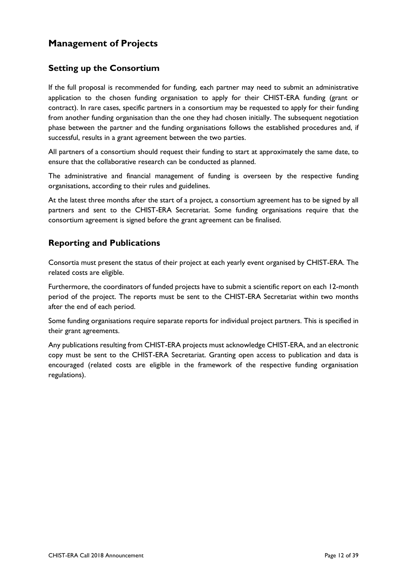### <span id="page-11-0"></span>**Management of Projects**

### <span id="page-11-1"></span>**Setting up the Consortium**

If the full proposal is recommended for funding, each partner may need to submit an administrative application to the chosen funding organisation to apply for their CHIST-ERA funding (grant or contract). In rare cases, specific partners in a consortium may be requested to apply for their funding from another funding organisation than the one they had chosen initially. The subsequent negotiation phase between the partner and the funding organisations follows the established procedures and, if successful, results in a grant agreement between the two parties.

All partners of a consortium should request their funding to start at approximately the same date, to ensure that the collaborative research can be conducted as planned.

The administrative and financial management of funding is overseen by the respective funding organisations, according to their rules and guidelines.

At the latest three months after the start of a project, a consortium agreement has to be signed by all partners and sent to the CHIST-ERA Secretariat. Some funding organisations require that the consortium agreement is signed before the grant agreement can be finalised.

### <span id="page-11-2"></span>**Reporting and Publications**

Consortia must present the status of their project at each yearly event organised by CHIST-ERA. The related costs are eligible.

Furthermore, the coordinators of funded projects have to submit a scientific report on each 12-month period of the project. The reports must be sent to the CHIST-ERA Secretariat within two months after the end of each period.

Some funding organisations require separate reports for individual project partners. This is specified in their grant agreements.

Any publications resulting from CHIST-ERA projects must acknowledge CHIST-ERA, and an electronic copy must be sent to the CHIST-ERA Secretariat. Granting open access to publication and data is encouraged (related costs are eligible in the framework of the respective funding organisation regulations).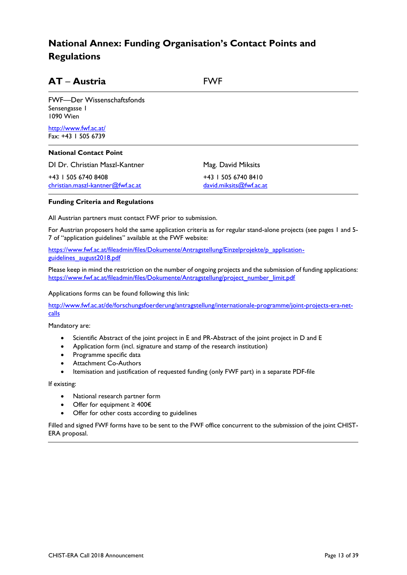### <span id="page-12-0"></span>**National Annex: Funding Organisation's Contact Points and Regulations**

<span id="page-12-1"></span>

| AT - Austria                                             | <b>FWF</b>                                     |  |  |  |
|----------------------------------------------------------|------------------------------------------------|--|--|--|
| FWF-Der Wissenschaftsfonds<br>Sensengasse 1<br>1090 Wien |                                                |  |  |  |
| http://www.fwf.ac.at/<br>Fax: +43   505 6739             |                                                |  |  |  |
| <b>National Contact Point</b>                            |                                                |  |  |  |
| DI Dr. Christian Maszl-Kantner                           | Mag. David Miksits                             |  |  |  |
| +43   505 6740 8408<br>christian.maszl-kantner@fwf.ac.at | +43   505 6740 8410<br>david.miksits@fwf.ac.at |  |  |  |

#### **Funding Criteria and Regulations**

All Austrian partners must contact FWF prior to submission.

For Austrian proposers hold the same application criteria as for regular stand-alone projects (see pages 1 and 5- 7 of "application guidelines" available at the FWF website:

[https://www.fwf.ac.at/fileadmin/files/Dokumente/Antragstellung/Einzelprojekte/p\\_application](https://www.fwf.ac.at/fileadmin/files/Dokumente/Antragstellung/Einzelprojekte/p_application-guidelines_august2018.pdf)[guidelines\\_august2018.pdf](https://www.fwf.ac.at/fileadmin/files/Dokumente/Antragstellung/Einzelprojekte/p_application-guidelines_august2018.pdf)

Please keep in mind the restriction on the number of ongoing projects and the submission of funding applications: [https://www.fwf.ac.at/fileadmin/files/Dokumente/Antragstellung/project\\_number\\_limit.pdf](https://www.fwf.ac.at/fileadmin/files/Dokumente/Antragstellung/project_number_limit.pdf)

Applications forms can be found following this link:

[http://www.fwf.ac.at/de/forschungsfoerderung/antragstellung/internationale-programme/joint-projects-era-net](http://www.fwf.ac.at/de/forschungsfoerderung/antragstellung/internationale-programme/joint-projects-era-net-calls)[calls](http://www.fwf.ac.at/de/forschungsfoerderung/antragstellung/internationale-programme/joint-projects-era-net-calls)

Mandatory are:

- Scientific Abstract of the joint project in E and PR-Abstract of the joint project in D and E
- Application form (incl. signature and stamp of the research institution)
- Programme specific data
- Attachment Co-Authors
- Itemisation and justification of requested funding (only FWF part) in a separate PDF-file

If existing:

- National research partner form
- Offer for equipment ≥ 400€
- Offer for other costs according to guidelines

Filled and signed FWF forms have to be sent to the FWF office concurrent to the submission of the joint CHIST-ERA proposal.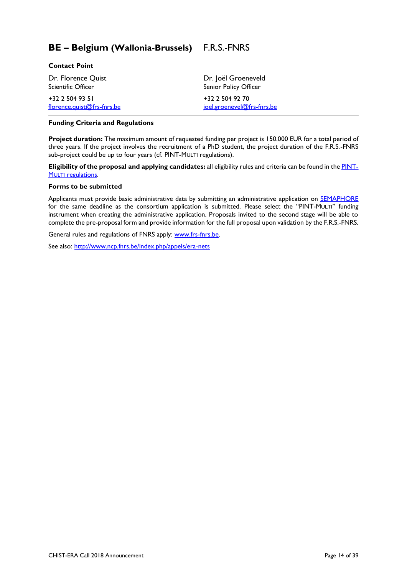### <span id="page-13-0"></span>**BE – Belgium (Wallonia-Brussels)** F.R.S.-FNRS

| <b>Contact Point</b>       |                            |
|----------------------------|----------------------------|
| Dr. Florence Quist         | Dr. Joël Groeneveld        |
| <b>Scientific Officer</b>  | Senior Policy Officer      |
| +32 2 504 93 51            | +32 2 504 92 70            |
| florence.quist@frs-fnrs.be | joel.groenevel@frs-fnrs.be |

#### **Funding Criteria and Regulations**

**Project duration:** The maximum amount of requested funding per project is 150.000 EUR for a total period of three years. If the project involves the recruitment of a PhD student, the project duration of the F.R.S.-FNRS sub-project could be up to four years (cf. PINT-MULTI regulations).

**Eligibility of the proposal and applying candidates:** all eligibility rules and criteria can be found in the [PINT](http://www.fnrs.be/docs/Reglement-et-documents/International/FRS-FNRS_PINT-Multi.pdf)**MULTI [regulations.](http://www.fnrs.be/docs/Reglement-et-documents/International/FRS-FNRS_PINT-Multi.pdf)** 

#### **Forms to be submitted**

Applicants must provide basic administrative data by submitting an administrative application on **SEMAPHORE** for the same deadline as the consortium application is submitted. Please select the "PINT-MULTI" funding instrument when creating the administrative application. Proposals invited to the second stage will be able to complete the pre-proposal form and provide information for the full proposal upon validation by the F.R.S.-FNRS.

General rules and regulations of FNRS apply: [www.frs-fnrs.be.](http://www.frs-fnrs.be/)

See also: <http://www.ncp.fnrs.be/index.php/appels/era-nets>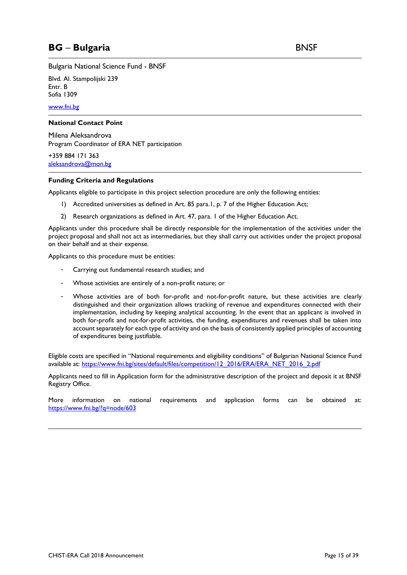<span id="page-14-0"></span>Bulgaria National Science Fund - BNSF

Blvd. Al. Stampolijski 239 Entr. B Sofia 1309

[www.fni.bg](http://www.fni.bg/)

#### **National Contact Point**

Milena Aleksandrova Program Coordinator of ERA NET participation

+359 884 171 363 [aleksandrova@mon.bg](mailto:aleksandrova@mon.bg)

#### **Funding Criteria and Regulations**

Applicants eligible to participate in this project selection procedure are only the following entities:

- 1) Accredited universities as defined in Art. 85 para.1, p. 7 of the Higher Education Act;
- 2) Research organizations as defined in Art. 47, para. 1 of the Higher Education Act.

Applicants under this procedure shall be directly responsible for the implementation of the activities under the project proposal and shall not act as intermediaries, but they shall carry out activities under the project proposal on their behalf and at their expense.

Applicants to this procedure must be entities:

- Carrying out fundamental research studies; and
- Whose activities are entirely of a non-profit nature; or
- Whose activities are of both for-profit and not-for-profit nature, but these activities are clearly distinguished and their organization allows tracking of revenue and expenditures connected with their implementation, including by keeping analytical accounting. In the event that an applicant is involved in both for-profit and not-for-profit activities, the funding, expenditures and revenues shall be taken into account separately for each type of activity and on the basis of consistently applied principles of accounting of expenditures being justifiable.

Eligible costs are specified in "National requirements and eligibility conditions" of Bulgarian National Science Fund available at: [https://www.fni.bg/sites/default/files/competition/12\\_2016/ERA/ERA\\_NET\\_2016\\_2.pdf](https://www.fni.bg/sites/default/files/competition/12_2016/ERA/ERA_NET_2016_2.pdf)

Applicants need to fill in Application form for the administrative description of the project and deposit it at BNSF Registry Office.

More information on national requirements and application forms can be obtained at: <https://www.fni.bg/?q=node/603>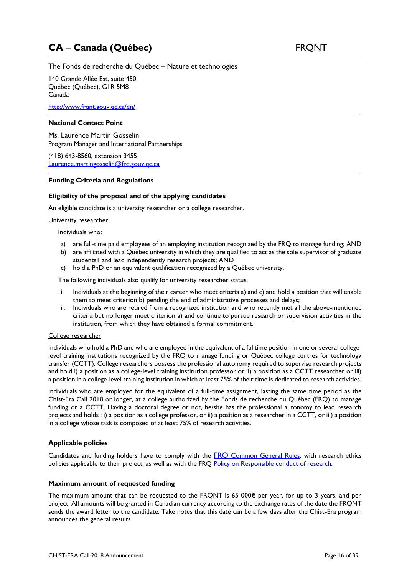## <span id="page-15-0"></span>**CA** – **Canada (Québec)** FRQNT

The Fonds de recherche du Québec – Nature et technologies

140 Grande Allée Est, suite 450 Québec (Québec), G1R 5M8 Canada

<http://www.frqnt.gouv.qc.ca/en/>

#### **National Contact Point**

Ms. Laurence Martin Gosselin Program Manager and International Partnerships

(418) 643-8560, extension 3455 [Laurence.martingosselin@frq.gouv.qc.ca](mailto:Laurence.martingosselin@frq.gouv.qc.ca)

#### **Funding Criteria and Regulations**

#### **Eligibility of the proposal and of the applying candidates**

An eligible candidate is a university researcher or a college researcher.

#### University researcher

Individuals who:

- a) are full-time paid employees of an employing institution recognized by the FRQ to manage funding; AND
- b) are affiliated with a Québec university in which they are qualified to act as the sole supervisor of graduate students1 and lead independently research projects; AND
- c) hold a PhD or an equivalent qualification recognized by a Québec university.

The following individuals also qualify for university researcher status.

- i. Individuals at the beginning of their career who meet criteria a) and c) and hold a position that will enable them to meet criterion b) pending the end of administrative processes and delays;
- ii. Individuals who are retired from a recognized institution and who recently met all the above-mentioned criteria but no longer meet criterion a) and continue to pursue research or supervision activities in the institution, from which they have obtained a formal commitment.

#### College researcher

Individuals who hold a PhD and who are employed in the equivalent of a fulltime position in one or several collegelevel training institutions recognized by the FRQ to manage funding or Québec college centres for technology transfer (CCTT). College researchers possess the professional autonomy required to supervise research projects and hold i) a position as a college-level training institution professor or ii) a position as a CCTT researcher or iii) a position in a college-level training institution in which at least 75% of their time is dedicated to research activities.

Individuals who are employed for the equivalent of a full-time assignment, lasting the same time period as the Chist-Era Call 2018 or longer, at a college authorized by the Fonds de recherche du Québec (FRQ) to manage funding or a CCTT. Having a doctoral degree or not, he/she has the professional autonomy to lead research projects and holds : i) a position as a college professor, or ii) a position as a researcher in a CCTT, or iii) a position in a college whose task is composed of at least 75% of research activities.

#### **Applicable policies**

Candidates and funding holders have to comply with the FRQ [Common General Rules,](http://www.frqs.gouv.qc.ca/documents/10191/500154/RGC_EN_v2018-06.pdf/b1dd0b01-523b-4b61-8030-e05aa511cc77) with research ethics policies applicable to their project, as well as with the FRQ [Policy on Responsible conduct of research.](http://www.frqnt.gouv.qc.ca/documents/10191/186005/Policy+for+the+RCR++FRQ+2014.pdf/c531b847-b95e-4275-a97d-421248178236)

#### **Maximum amount of requested funding**

The maximum amount that can be requested to the FRQNT is 65 000€ per year, for up to 3 years, and per project. All amounts will be granted in Canadian currency according to the exchange rates of the date the FRQNT sends the award letter to the candidate. Take notes that this date can be a few days after the Chist-Era program announces the general results.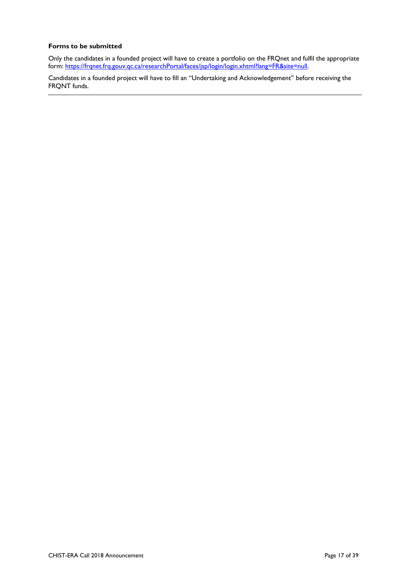#### **Forms to be submitted**

Only the candidates in a founded project will have to create a portfolio on the FRQnet and fulfil the appropriate form: [https://frqnet.frq.gouv.qc.ca/researchPortal/faces/jsp/login/login.xhtml?lang=FR&site=null.](https://frqnet.frq.gouv.qc.ca/researchPortal/faces/jsp/login/login.xhtml?lang=FR&site=null)

Candidates in a founded project will have to fill an "Undertaking and Acknowledgement" before receiving the FRQNT funds.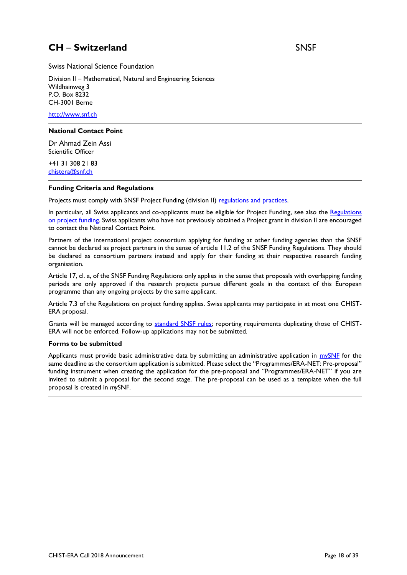### <span id="page-17-0"></span>**CH** – **Switzerland** SNSF

Swiss National Science Foundation

Division II – Mathematical, Natural and Engineering Sciences Wildhainweg 3 P.O. Box 8232 CH-3001 Berne

[http://www.snf.ch](http://www.snf.ch/)

#### **National Contact Point**

Dr Ahmad Zein Assi Scientific Officer

+41 31 308 21 83 [chistera@snf.ch](mailto:chistera@snf.ch)

#### **Funding Criteria and Regulations**

Projects must comply with SNSF Project Funding (division II) [regulations and practices.](http://www.snf.ch/en/funding/documents-downloads/Pages/default.aspx)

In particular, all Swiss applicants and co-applicants must be eligible for Project Funding, see also the Regulations [on project funding.](http://www.snf.ch/en/funding/projects/innovations-project-funding/Pages/default.aspx) Swiss applicants who have not previously obtained a Project grant in division II are encouraged to contact the National Contact Point.

Partners of the international project consortium applying for funding at other funding agencies than the SNSF cannot be declared as project partners in the sense of article 11.2 of the SNSF Funding Regulations. They should be declared as consortium partners instead and apply for their funding at their respective research funding organisation.

Article 17, cl. a, of the SNSF Funding Regulations only applies in the sense that proposals with overlapping funding periods are only approved if the research projects pursue different goals in the context of this European programme than any ongoing projects by the same applicant.

Article 7.3 of the Regulations on project funding applies. Swiss applicants may participate in at most one CHIST-ERA proposal.

Grants will be managed according to [standard SNSF rules;](http://www.snf.ch/SiteCollectionDocuments/allg_lifetime_management_e.pdf) reporting requirements duplicating those of CHIST-ERA will not be enforced. Follow-up applications may not be submitted.

#### **Forms to be submitted**

Applicants must provide basic administrative data by submitting an administrative application in [mySNF](http://www.mysnf.ch/) for the same deadline as the consortium application is submitted. Please select the "Programmes/ERA-NET: Pre-proposal" funding instrument when creating the application for the pre-proposal and "Programmes/ERA-NET" if you are invited to submit a proposal for the second stage. The pre-proposal can be used as a template when the full proposal is created in *my*SNF.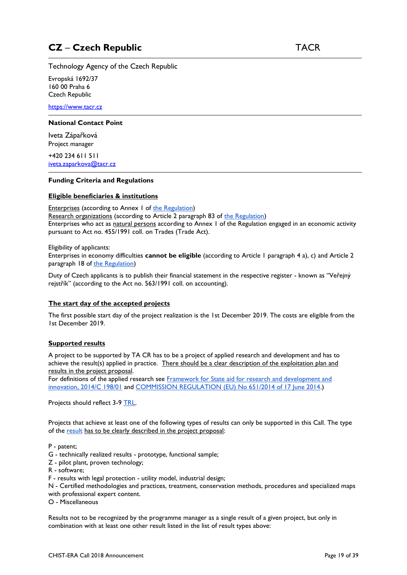<span id="page-18-0"></span>Technology Agency of the Czech Republic

Evropská 1692/37 160 00 Praha 6 Czech Republic

[https://www.tacr.cz](https://www.tacr.cz/)

#### **National Contact Point**

Iveta Zápařková Project manager

+420 234 611 511 [iveta.zaparkova@tacr.cz](mailto:iveta.zaparkova@tacr.cz)

#### **Funding Criteria and Regulations**

#### **Eligible beneficiaries & institutions**

Enterprises (according to Annex 1 of [the Regulation\)](http://eur-lex.europa.eu/legal-content/EN/TXT/?uri=CELEX:32014R0651) Research organizations (according to Article 2 paragraph 83 of [the Regulation\)](https://eur-lex.europa.eu/legal-content/EN/TXT/?uri=CELEX:32014R0651) Enterprises who act as natural persons according to Annex 1 of the Regulation engaged in an economic activity pursuant to Act no. 455/1991 coll. on Trades (Trade Act).

Eligibility of applicants:

Enterprises in economy difficulties **cannot be eligible** (according to Article 1 paragraph 4 a), c) and Article 2 paragraph 18 of [the Regulation\)](https://eur-lex.europa.eu/legal-content/EN/TXT/?uri=CELEX:32014R0651)

Duty of Czech applicants is to publish their financial statement in the respective register - known as "Veřejný rejstřík" (according to the Act no. 563/1991 coll. on accounting).

#### **The start day of the accepted projects**

The first possible start day of the project realization is the 1st December 2019. The costs are eligible from the 1st December 2019.

#### **Supported results**

A project to be supported by TA CR has to be a project of applied research and development and has to achieve the result(s) applied in practice. There should be a clear description of the exploitation plan and results in the project proposal.

For definitions of the applied research see [Framework for State aid for research and development and](https://eur-lex.europa.eu/legal-content/EN/TXT/PDF/?uri=CELEX:52014XC0627(01)&from=CS)  [innovation, 2014/C 198/01](https://eur-lex.europa.eu/legal-content/EN/TXT/PDF/?uri=CELEX:52014XC0627(01)&from=CS) and [COMMISSION REGULATION \(EU\) No 651/2014 of 17 June 2014.](https://eur-lex.europa.eu/legal-content/EN/TXT/PDF/?uri=CELEX:32014R0651&from=CS))

Projects should reflect 3-9 [TRL.](https://businesscolumnist.files.wordpress.com/2014/10/trl-eu.jpg)

Projects that achieve at least one of the following types of results can only be supported in this Call. The type of the [result](http://tacr.cz/dokums_raw/projekty/definice_druhu_vysledku.pdf) has to be clearly described in the project proposal:

P - patent;

- G technically realized results prototype, functional sample;
- Z pilot plant, proven technology;
- R software;
- F results with legal protection utility model, industrial design;

N - Certified methodologies and practices, treatment, conservation methods, procedures and specialized maps with professional expert content.

O - Miscellaneous

Results not to be recognized by the programme manager as a single result of a given project, but only in combination with at least one other result listed in the list of result types above: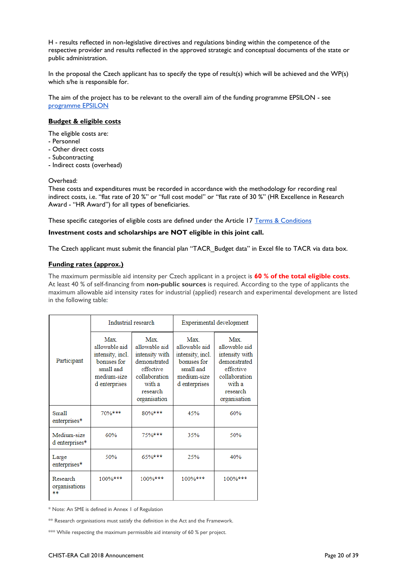H - results reflected in non-legislative directives and regulations binding within the competence of the respective provider and results reflected in the approved strategic and conceptual documents of the state or public administration.

In the proposal the Czech applicant has to specify the type of result(s) which will be achieved and the WP(s) which s/he is responsible for.

The aim of the project has to be relevant to the overall aim of the funding programme EPSILON - see [programme EPSILON](https://www.tacr.cz/dokums_raw/epsilon/Program_EPSILON_v_%C3%BA%C4%8Dinnosti_od_7_12_2017.pdf)

#### **Budget & eligible costs**

The eligible costs are:

- Personnel
- Other direct costs
- Subcontracting
- Indirect costs (overhead)

#### Overhead:

These costs and expenditures must be recorded in accordance with the methodology for recording real indirect costs, i.e. "flat rate of 20 %" or "full cost model" or "flat rate of 30 %" (HR Excellence in Research Award - "HR Award") for all types of beneficiaries.

These specific categories of eligible costs are defined under the Article 17 [Terms & Conditions](https://drive.google.com/file/d/1j8FA-sN2cjbs5TBTLPmtKAdpH5OxIexA/view?usp=sharing)

#### **Investment costs and scholarships are NOT eligible in this joint call.**

The Czech applicant must submit the financial plan "TACR\_Budget data" in Excel file to TACR via data box.

#### **Funding rates (approx.)**

The maximum permissible aid intensity per Czech applicant in a project is **60 % of the total eligible costs**. At least 40 % of self-financing from **non-public sources** is required. According to the type of applicants the maximum allowable aid intensity rates for industrial (applied) research and experimental development are listed in the following table:

|                                 | Industrial research                                                                                         |                                                                                                                                   | Experimental development                                                                              |                                                                                                                             |  |
|---------------------------------|-------------------------------------------------------------------------------------------------------------|-----------------------------------------------------------------------------------------------------------------------------------|-------------------------------------------------------------------------------------------------------|-----------------------------------------------------------------------------------------------------------------------------|--|
| Participant                     | <b>Max</b><br>allowable aid<br>intensity, incl.<br>bonuses for<br>small and<br>medium-size<br>d enterprises | <b>Max</b><br>allowable aid<br>intensity with<br>demonstrated<br>effective<br>collaboration<br>with a<br>research<br>organisation | Max.<br>allowable aid<br>intensity, incl.<br>bonuses for<br>small and<br>medium-size<br>d enterprises | Max.<br>allowable aid<br>intensity with<br>demonstrated<br>effective<br>collaboration<br>with a<br>research<br>organisation |  |
| <b>Small</b><br>enterprises*    | 70%***                                                                                                      | 80%***                                                                                                                            | 45%                                                                                                   | 60%                                                                                                                         |  |
| Medium-size<br>d enterprises*   | 60%                                                                                                         | 75%***                                                                                                                            | 35%                                                                                                   | 50%                                                                                                                         |  |
| Large<br>enterprises*           | 50%                                                                                                         | 65%***                                                                                                                            | 25%                                                                                                   | 40%                                                                                                                         |  |
| Research<br>organisations<br>** | 100%***                                                                                                     | 100%***                                                                                                                           | 100%***                                                                                               | 100%***                                                                                                                     |  |

\* Note: An SME is defined in Annex 1 of Regulation

\*\* Research organisations must satisfy the definition in the Act and the Framework.

\*\*\* While respecting the maximum permissible aid intensity of 60 % per project.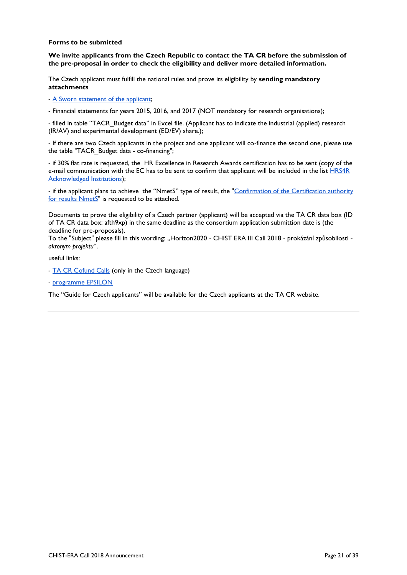#### **Forms to be submitted**

**We invite applicants from the Czech Republic to contact the TA CR before the submission of the pre-proposal in order to check the eligibility and deliver more detailed information.**

The Czech applicant must fulfill the national rules and prove its eligibility by **sending mandatory attachments**

- [A Sworn statement of the applicant;](https://tacr.cz/dokums_raw/projekty/cestne_prohlaseni_uchazece-Sworn_statement_of_the_applicant.docx)

- Financial statements for years 2015, 2016, and 2017 (NOT mandatory for research organisations);

- filled in table "TACR\_Budget data" in Excel file. (Applicant has to indicate the industrial (applied) research (IR/AV) and experimental development (ED/EV) share.);

- If there are two Czech applicants in the project and one applicant will co-finance the second one, please use the table "TACR\_Budget data - co-financing";

- if 30% flat rate is requested, the HR Excellence in Research Awards certification has to be sent (copy of the e-mail communication with the EC has to be sent to confirm that applicant will be included in the list [HRS4R](https://euraxess.ec.europa.eu/jobs/hrs4r)  [Acknowledged Institutions\)](https://euraxess.ec.europa.eu/jobs/hrs4r);

- if the applicant plans to achieve the "NmetS" type of result, the "Confirmation of the Certification authority [for results NmetS"](https://tacr.cz/dokums_raw/projekty/Formular_potvrzeni_certifikacniho_organu_pro_druh_vysledku_NmetS_%E2%80%93_certifikovana_metodika_dle_struktury_databaze_RIV.docx) is requested to be attached.

Documents to prove the eligibility of a Czech partner (applicant) will be accepted via the TA CR data box (ID of TA CR data box: afth9xp) in the same deadline as the consortium application submittion date is (the deadline for pre-proposals).

To the "Subject" please fill in this wording: "Horizon2020 - CHIST ERA III Call 2018 - prokázání způsobilosti *akronym projektu*".

useful links:

- [TA CR Cofund Calls](https://www.tacr.cz/index.php/cz/mezinarodni-spoluprace/cofundove-vyzvy-ii.html) (only in the Czech language)
- [programme EPSILON](https://www.tacr.cz/dokums_raw/epsilon/Program_EPSILON_v_%C3%BA%C4%8Dinnosti_od_7_12_2017.pdf)

The "Guide for Czech applicants" will be available for the Czech applicants at the TA CR website.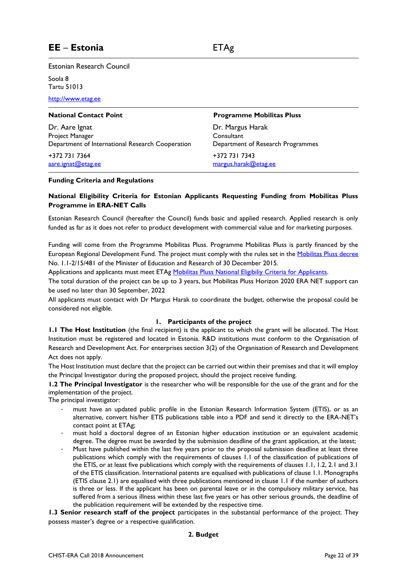<span id="page-21-0"></span>Estonian Research Council

Soola 8 Tartu 51013

[http://www.etag.ee](http://www.etag.ee/)

Dr. Aare Ignat Project Manager Department of International Research Cooperation

+372 731 7364 [aare.ignat@etag.ee](mailto:aare.ignat@etag.ee)

#### **National Contact Point Programme Mobilitas Pluss**

Dr. Margus Harak **Consultant** Department of Research Programmes

+372 731 7343 [margus.harak@etag.ee](mailto:margus.harak@etag.ee)

#### **Funding Criteria and Regulations**

#### **National Eligibility Criteria for Estonian Applicants Requesting Funding from Mobilitas Pluss Programme in ERA-NET Calls**

Estonian Research Council (hereafter the Council) funds basic and applied research. Applied research is only funded as far as it does not refer to product development with commercial value and for marketing purposes.

Funding will come from the Programme Mobilitas Pluss. Programme Mobilitas Pluss is partly financed by the European Regional Development Fund. The project must comply with the rules set in the [Mobilitas Pluss decree](http://www.etag.ee/wp-content/uploads/2016/01/Mobilitas-Pluss-Lisa-1.pdf) No. 1.1-2/15/481 of the Minister of Education and Research of 30 December 2015.

Applications and applicants must meet ETAg [Mobilitas Pluss National Eligibiliy Criteria for Applicants.](http://www.etag.ee/rahastamine/partnerlus-ja-koostootoetused/mobilitas-pluss-partnerlus-ja-koostootoetused/horisont-2020-era-net-toetus/)

The total duration of the project can be up to 3 years, but Mobilitas Pluss Horizon 2020 ERA NET support can be used no later than 30 September, 2022

All applicants must contact with Dr Margus Harak to coordinate the budget, otherwise the proposal could be considered not eligible.

#### **1. Participants of the project**

**1.1 The Host Institution** (the final recipient) is the applicant to which the grant will be allocated. The Host Institution must be registered and located in Estonia. R&D institutions must conform to the Organisation of Research and Development Act. For enterprises section 3(2) of the Organisation of Research and Development Act does not apply.

The Host Institution must declare that the project can be carried out within their premises and that it will employ the Principal Investigator during the proposed project, should the project receive funding.

**1.2 The Principal Investigator** is the researcher who will be responsible for the use of the grant and for the implementation of the project.

The principal investigator:

- must have an updated public profile in the Estonian Research Information System (ETIS), or as an alternative, convert his/her ETIS publications table into a PDF and send it directly to the ERA-NET's contact point at ETAg;
- must hold a doctoral degree of an Estonian higher education institution or an equivalent academic degree. The degree must be awarded by the submission deadline of the grant application, at the latest;
- Must have published within the last five years prior to the proposal submission deadline at least three publications which comply with the requirements of clauses 1.1 of the classification of publications of the ETIS, or at least five publications which comply with the requirements of clauses 1.1, 1.2, 2.1 and 3.1 of the ETIS classification. International patents are equalised with publications of clause 1.1. Monographs (ETIS clause 2.1) are equalised with three publications mentioned in clause 1.1 if the number of authors is three or less. If the applicant has been on parental leave or in the compulsory military service, has suffered from a serious illness within these last five years or has other serious grounds, the deadline of the publication requirement will be extended by the respective time.

**1.3 Senior research staff of the project** participates in the substantial performance of the project. They possess master's degree or a respective qualification.

#### **2. Budget**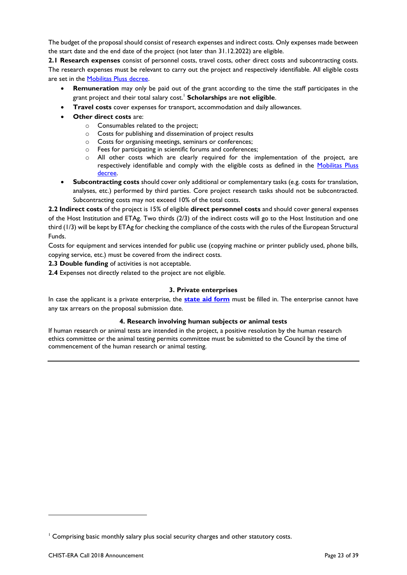The budget of the proposal should consist of research expenses and indirect costs. Only expenses made between the start date and the end date of the project (not later than 31.12.2022) are eligible.

**2.1 Research expenses** consist of personnel costs, travel costs, other direct costs and subcontracting costs. The research expenses must be relevant to carry out the project and respectively identifiable. All eligible costs are set in the [Mobilitas Pluss decree.](http://www.etag.ee/wp-content/uploads/2016/01/Mobilitas-Pluss-Lisa-1.pdf)

- **Remuneration** may only be paid out of the grant according to the time the staff participates in the grant project and their total salary cost.<sup>1</sup> **Scholarships** are **not eligible**.
- **Travel costs** cover expenses for transport, accommodation and daily allowances.
- **Other direct costs** are:
	- o Consumables related to the project;
	- o Costs for publishing and dissemination of project results
	- o Costs for organising meetings, seminars or conferences;
	- o Fees for participating in scientific forums and conferences;
	- All other costs which are clearly required for the implementation of the project, are respectively identifiable and comply with the eligible costs as defined in the Mobilitas Pluss [decree.](http://www.etag.ee/wp-content/uploads/2016/01/Mobilitas-Pluss-Lisa-1.pdf)
- **Subcontracting costs** should cover only additional or complementary tasks (e.g. costs for translation, analyses, etc.) performed by third parties. Core project research tasks should not be subcontracted. Subcontracting costs may not exceed 10% of the total costs.

**2.2 Indirect costs** of the project is 15% of eligible **direct personnel costs** and should cover general expenses of the Host Institution and ETAg. Two thirds (2/3) of the indirect costs will go to the Host Institution and one third (1/3) will be kept by ETAg for checking the compliance of the costs with the rules of the European Structural Funds.

Costs for equipment and services intended for public use (copying machine or printer publicly used, phone bills, copying service, etc.) must be covered from the indirect costs.

- **2.3 Double funding** of activities is not acceptable.
- **2.4** Expenses not directly related to the project are not eligible.

#### **3. Private enterprises**

In case the applicant is a private enterprise, the **[state aid form](http://www.etag.ee/wp-content/uploads/2018/01/Riigiabi-vorm-ettevõtetele.docx)** must be filled in. The enterprise cannot have any tax arrears on the proposal submission date.

#### **4. Research involving human subjects or animal tests**

If human research or animal tests are intended in the project, a positive resolution by the human research ethics committee or the animal testing permits committee must be submitted to the Council by the time of commencement of the human research or animal testing.

1

<sup>&</sup>lt;sup>1</sup> Comprising basic monthly salary plus social security charges and other statutory costs.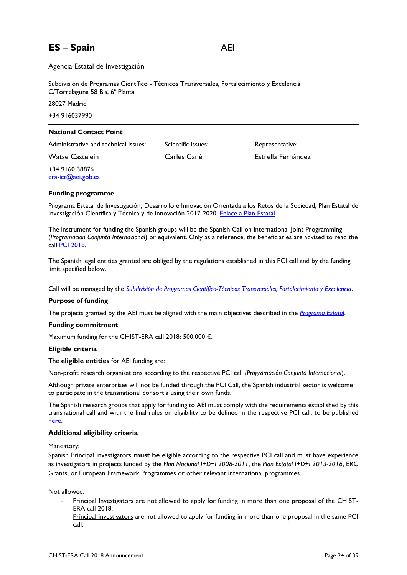### <span id="page-23-0"></span>**ES** – **Spain** AEI

#### Agencia Estatal de Investigación

| Subdivisión de Programas Científico - Técnicos Transversales, Fortalecimiento y Excelencia<br>C/Torrelaguna 58 Bis, 6 <sup>ª</sup> Planta |                    |                    |  |  |  |
|-------------------------------------------------------------------------------------------------------------------------------------------|--------------------|--------------------|--|--|--|
| 28027 Madrid                                                                                                                              |                    |                    |  |  |  |
| +34 916037990                                                                                                                             |                    |                    |  |  |  |
| <b>National Contact Point</b>                                                                                                             |                    |                    |  |  |  |
| Administrative and technical issues:                                                                                                      | Scientific issues: | Representative:    |  |  |  |
| <b>Watse Castelein</b>                                                                                                                    | Carles Cané        | Estrella Fernández |  |  |  |
| +34 9160 38876<br>era-ict@aei.gob.es                                                                                                      |                    |                    |  |  |  |

#### **Funding programme**

Programa Estatal de Investigación, Desarrollo e Innovación Orientada a los Retos de la Sociedad, Plan Estatal de Investigación Científica y Técnica y de Innovación 2017-2020. [Enlace a Plan Estatal](http://www.ciencia.gob.es/portal/site/MICINN/menuitem.7eeac5cd345b4f34f09dfd1001432ea0/?vgnextoid=83b192b9036c2210VgnVCM1000001d04140aRCRD)

The instrument for funding the Spanish groups will be the Spanish Call on International Joint Programming (*Programación Conjunta Internacional*) or equivalent. Only as a reference, the beneficiaries are advised to read the call [PCI 2018.](http://www.ciencia.gob.es/portal/site/MICINN/menuitem.791459a43fdf738d70fd325001432ea0/?vgnextoid=0e2be6f001f01610VgnVCM1000001d04140aRCRD&vgnextchannel=b24e067c468a4610VgnVCM1000001d04140aRCRD&vgnextfmt=formato2&id3=592be6f001f01610VgnVCM1000001d04140a____)

The Spanish legal entities granted are obliged by the regulations established in this PCI call and by the funding limit specified below.

Call will be managed by the *[Subdivisión de Programas Científico-Técnicos Transversales, Fortalecimiento y Excelencia](http://www.idi.mineco.gob.es/portal/site/MICINN/menuitem.8ce192e94ba842bea3bc811001432ea0/?vgnextoid=702ab68c910c1410VgnVCM1000001d04140aRCRD&vgnextchannel=07f839f740db2410VgnVCM1000001d04140aRCRD)*.

#### **Purpose of funding**

The projects granted by the AEI must be aligned with the main objectives described in the *[Programa Estatal](http://www.ciencia.gob.es/portal/site/MICINN/menuitem.7eeac5cd345b4f34f09dfd1001432ea0/?vgnextoid=83b192b9036c2210VgnVCM1000001d04140aRCRD)*.

#### **Funding commitment**

Maximum funding for the CHIST-ERA call 2018: 500.000 €.

#### **Eligible criteria**

The **eligible entities** for AEI funding are:

Non-profit research organisations according to the respective PCI call *(Programación Conjunta Internacional*).

Although private enterprises will not be funded through the PCI Call, the Spanish industrial sector is welcome to participate in the transnational consortia using their own funds.

The Spanish research groups that apply for funding to AEI must comply with the requirements established by this transnational call and with the final rules on eligibility to be defined in the respective PCI call, to be published [here.](http://www.ciencia.gob.es/portal/site/MICINN/menuitem.d20caeda35a0c5dc7c68b11001432ea0/?vgnextoid=b24e067c468a4610VgnVCM1000001d04140aRCRD)

#### **Additional eligibility criteria**

#### Mandatory:

Spanish Principal investigators **must be** eligible according to the respective PCI call and must have experience as investigators in projects funded by the *Plan Nacional I+D+I 2008-2011*, the *Plan Estatal I+D+I 2013-2016*, ERC Grants, or European Framework Programmes or other relevant international programmes.

#### Not allowed:

- Principal Investigators are not allowed to apply for funding in more than one proposal of the CHIST-ERA call 2018.
- Principal investigators are not allowed to apply for funding in more than one proposal in the same PCI call.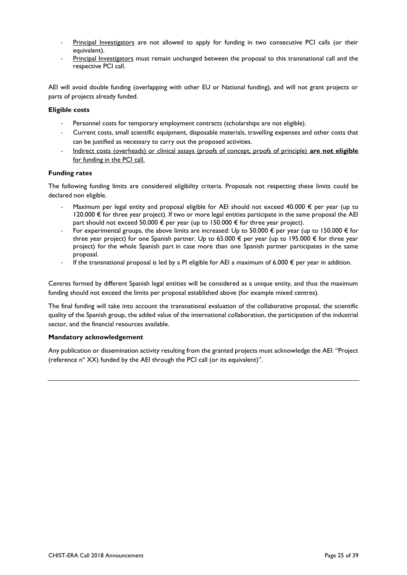- Principal Investigators are not allowed to apply for funding in two consecutive PCI calls (or their equivalent).
- Principal Investigators must remain unchanged between the proposal to this transnational call and the respective PCI call.

AEI will avoid double funding (overlapping with other EU or National funding), and will not grant projects or parts of projects already funded.

#### **Eligible costs**

- Personnel costs for temporary employment contracts (scholarships are not eligible).
- Current costs, small scientific equipment, disposable materials, travelling expenses and other costs that can be justified as necessary to carry out the proposed activities.
- Indirect costs (overheads) or clinical assays (proofs of concept, proofs of principle) **are not eligible** for funding in the PCI call.

#### **Funding rates**

The following funding limits are considered eligibility criteria. Proposals not respecting these limits could be declared non eligible.

- Maximum per legal entity and proposal eligible for AEI should not exceed 40.000  $\epsilon$  per year (up to  $120.000 \text{ €}$  for three year project). If two or more legal entities participate in the same proposal the AEI part should not exceed 50.000 € per year (up to 150.000 € for three year project).
- For experimental groups, the above limits are increased: Up to 50.000  $\epsilon$  per year (up to 150.000  $\epsilon$  for three year project) for one Spanish partner. Up to 65.000  $\epsilon$  per year (up to 195.000  $\epsilon$  for three year project) for the whole Spanish part in case more than one Spanish partner participates in the same proposal.
- If the transnational proposal is led by a PI eligible for AEI a maximum of 6.000  $\epsilon$  per year in addition.

Centres formed by different Spanish legal entities will be considered as a unique entity, and thus the maximum funding should not exceed the limits per proposal established above (for example mixed centres).

The final funding will take into account the transnational evaluation of the collaborative proposal, the scientific quality of the Spanish group, the added value of the international collaboration, the participation of the industrial sector, and the financial resources available.

#### **Mandatory acknowledgement**

Any publication or dissemination activity resulting from the granted projects must acknowledge the AEI: "Project (reference nº XX) funded by the AEI through the PCI call (or its equivalent)".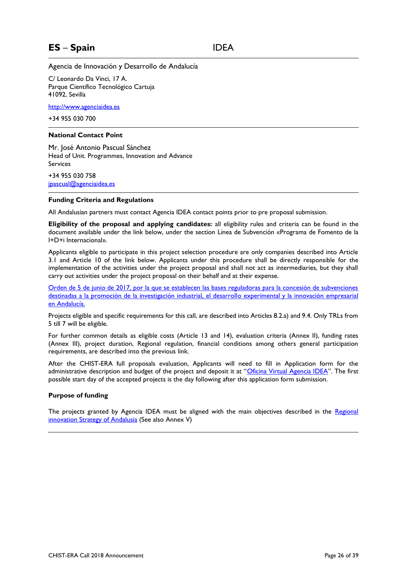### <span id="page-25-0"></span>**ES** – **Spain** IDEA

Agencia de Innovación y Desarrollo de Andalucía

C/ Leonardo Da Vinci, 17 A. Parque Científico Tecnológico Cartuja 41092, Sevilla

[http://www.agenciaidea.es](http://www.agenciaidea.es/)

+34 955 030 700

#### **National Contact Point**

Mr. José Antonio Pascual Sánchez Head of Unit. Programmes, Innovation and Advance **Services** 

+34 955 030 758 [jpascual@agenciaidea.es](mailto:jpascual@agenciaidea.es)

#### **Funding Criteria and Regulations**

All Andalusian partners must contact Agencia IDEA contact points prior to pre proposal submission.

**Eligibility of the proposal and applying candidates:** all eligibility rules and criteria can be found in the document available under the link below, under the section Línea de Subvención «Programa de Fomento de la I+D+i Internacional».

Applicants eligible to participate in this project selection procedure are only companies described into Article 3.1 and Article 10 of the link below. Applicants under this procedure shall be directly responsible for the implementation of the activities under the project proposal and shall not act as intermediaries, but they shall carry out activities under the project proposal on their behalf and at their expense.

[Orden de 5 de junio de 2017, por la que se establecen las bases reguladoras para la concesión de subvenciones](http://www.agenciaidea.es/c/document_library/get_file?uuid=3186eb68-e028-4f4e-8c65-26563a1b4376&groupId=10157)  [destinadas a la promoción de la investigación industrial, el desarrollo experimental y la innovación empresarial](http://www.agenciaidea.es/c/document_library/get_file?uuid=3186eb68-e028-4f4e-8c65-26563a1b4376&groupId=10157)  [en Andalucía.](http://www.agenciaidea.es/c/document_library/get_file?uuid=3186eb68-e028-4f4e-8c65-26563a1b4376&groupId=10157)

Projects eligible and specific requirements for this call, are described into Articles 8.2.a) and 9.4. Only TRLs from 5 till 7 will be eligible.

For further common details as eligible costs (Article 13 and 14), evaluation criteria (Annex II), funding rates (Annex III), project duration, Regional regulation, financial conditions among others general participation requirements, are described into the previous link.

After the CHIST-ERA full proposals evaluation, Applicants will need to fill in Application form for the administrative description and budget of the project and deposit it at "[Oficina Virtual Agencia IDEA](https://oficinavirtual.agenciaidea.es/index.do)". The first possible start day of the accepted projects is the day following after this application form submission.

#### **Purpose of funding**

The projects granted by Agencia IDEA must be aligned with the main objectives described in the Regional [innovation Strategy of Andalusia](http://ris3andalucia.es/documento/estrategia-de-innovacion-de-andalucia-2014-2020-ris3-andalucia/) (See also Annex V)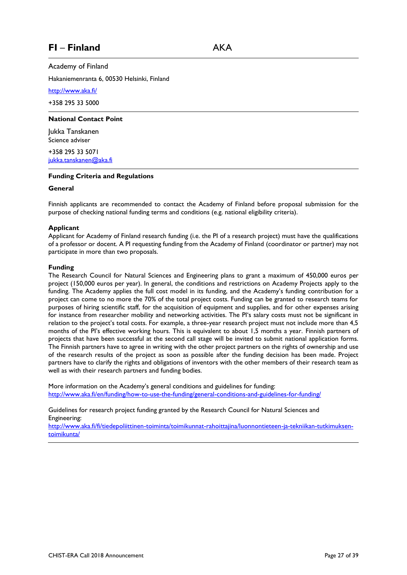### <span id="page-26-0"></span>**FI** – **Finland** AKA

Academy of Finland

Hakaniemenranta 6, 00530 Helsinki, Finland

<http://www.aka.fi/>

+358 295 33 5000

#### **National Contact Point**

Jukka Tanskanen Science adviser

+358 295 33 5071 [jukka.tanskanen@aka.fi](mailto:jukka.tanskanen@aka.fi)

#### **Funding Criteria and Regulations**

#### **General**

Finnish applicants are recommended to contact the Academy of Finland before proposal submission for the purpose of checking national funding terms and conditions (e.g. national eligibility criteria).

#### **Applicant**

Applicant for Academy of Finland research funding (i.e. the PI of a research project) must have the qualifications of a professor or docent. A PI requesting funding from the Academy of Finland (coordinator or partner) may not participate in more than two proposals.

#### **Funding**

The Research Council for Natural Sciences and Engineering plans to grant a maximum of 450,000 euros per project (150,000 euros per year). In general, the conditions and restrictions on Academy Projects apply to the funding. The Academy applies the full cost model in its funding, and the Academy's funding contribution for a project can come to no more the 70% of the total project costs. Funding can be granted to research teams for purposes of hiring scientific staff, for the acquisition of equipment and supplies, and for other expenses arising for instance from researcher mobility and networking activities. The PI's salary costs must not be significant in relation to the project's total costs. For example, a three-year research project must not include more than 4,5 months of the PI's effective working hours. This is equivalent to about 1,5 months a year. Finnish partners of projects that have been successful at the second call stage will be invited to submit national application forms. The Finnish partners have to agree in writing with the other project partners on the rights of ownership and use of the research results of the project as soon as possible after the funding decision has been made. Project partners have to clarify the rights and obligations of inventors with the other members of their research team as well as with their research partners and funding bodies.

More information on the Academy's general conditions and guidelines for funding: <http://www.aka.fi/en/funding/how-to-use-the-funding/general-conditions-and-guidelines-for-funding/>

Guidelines for research project funding granted by the Research Council for Natural Sciences and Engineering:

[http://www.aka.fi/fi/tiedepoliittinen-toiminta/toimikunnat-rahoittajina/luonnontieteen-ja-tekniikan-tutkimuksen](http://www.aka.fi/fi/tiedepoliittinen-toiminta/toimikunnat-rahoittajina/luonnontieteen-ja-tekniikan-tutkimuksen-toimikunta/)[toimikunta/](http://www.aka.fi/fi/tiedepoliittinen-toiminta/toimikunnat-rahoittajina/luonnontieteen-ja-tekniikan-tutkimuksen-toimikunta/)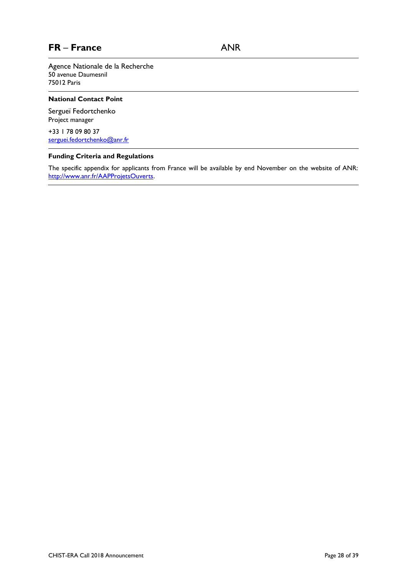### <span id="page-27-0"></span>**FR** – **France** ANR

Agence Nationale de la Recherche 50 avenue Daumesnil 75012 Paris

#### **National Contact Point**

Sergueï Fedortchenko Project manager

+33 1 78 09 80 37 [serguei.fedortchenko@anr.fr](mailto:serguei.fedortchenko@anr.fr)

#### **Funding Criteria and Regulations**

The specific appendix for applicants from France will be available by end November on the website of ANR: [http://www.anr.fr/AAPProjetsOuverts.](http://www.anr.fr/AAPProjetsOuverts)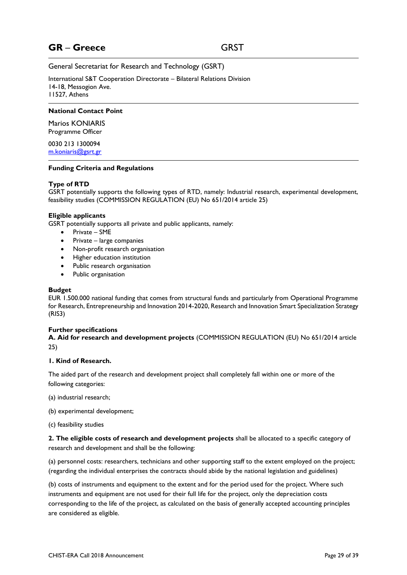### <span id="page-28-0"></span>**GR** – **Greece** GRST

General Secretariat for Research and Technology (GSRT)

International S&T Cooperation Directorate – Bilateral Relations Division 14-18, Messogion Ave. 11527, Athens

#### **National Contact Point**

Marios KONIARIS Programme Officer

0030 213 1300094 [m.koniaris@gsrt.gr](mailto:m.koniaris@gsrt.gr)

#### **Funding Criteria and Regulations**

#### **Type of RTD**

GSRT potentially supports the following types of RTD, namely: Industrial research, experimental development, feasibility studies (COMMISSION REGULATION (EU) No 651/2014 article 25)

#### **Eligible applicants**

GSRT potentially supports all private and public applicants, namely:

- Private SME
- Private large companies
- Non-profit research organisation
- **•** Higher education institution
- Public research organisation
- Public organisation

#### **Budget**

EUR 1.500.000 national funding that comes from structural funds and particularly from Operational Programme for Research, Entrepreneurship and Innovation 2014-2020, Research and Innovation Smart Specialization Strategy (RIS3)

#### **Further specifications**

**A. Aid for research and development projects** (COMMISSION REGULATION (EU) No 651/2014 article 25)

#### **1. Kind of Research.**

The aided part of the research and development project shall completely fall within one or more of the following categories:

- (a) industrial research;
- (b) experimental development;
- (c) feasibility studies

**2. The eligible costs of research and development projects** shall be allocated to a specific category of research and development and shall be the following:

(a) personnel costs: researchers, technicians and other supporting staff to the extent employed on the project; (regarding the individual enterprises the contracts should abide by the national legislation and guidelines)

(b) costs of instruments and equipment to the extent and for the period used for the project. Where such instruments and equipment are not used for their full life for the project, only the depreciation costs corresponding to the life of the project, as calculated on the basis of generally accepted accounting principles are considered as eligible.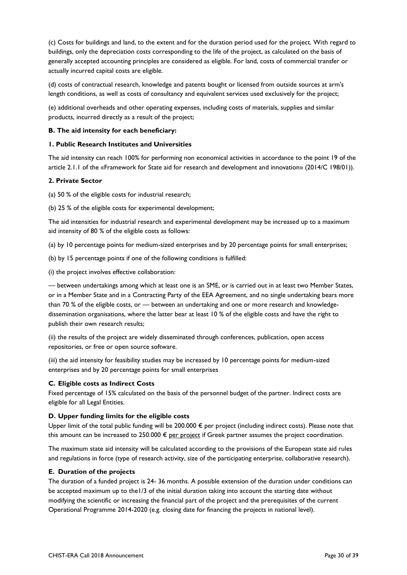(c) Costs for buildings and land, to the extent and for the duration period used for the project. With regard to buildings, only the depreciation costs corresponding to the life of the project, as calculated on the basis of generally accepted accounting principles are considered as eligible. For land, costs of commercial transfer or actually incurred capital costs are eligible.

(d) costs of contractual research, knowledge and patents bought or licensed from outside sources at arm's length conditions, as well as costs of consultancy and equivalent services used exclusively for the project;

(e) additional overheads and other operating expenses, including costs of materials, supplies and similar products, incurred directly as a result of the project;

#### **B. The aid intensity for each beneficiary:**

#### **1. Public Research Institutes and Universities**

The aid intensity can reach 100% for performing non economical activities in accordance to the point 19 of the article 2.1.1 of the «Framework for State aid for research and development and innovation» (2014/C 198/01)).

#### **2. Private Sector**

(a) 50 % of the eligible costs for industrial research;

(b) 25 % of the eligible costs for experimental development;

The aid intensities for industrial research and experimental development may be increased up to a maximum aid intensity of 80 % of the eligible costs as follows:

(a) by 10 percentage points for medium-sized enterprises and by 20 percentage points for small enterprises;

(b) by 15 percentage points if one of the following conditions is fulfilled:

(i) the project involves effective collaboration:

— between undertakings among which at least one is an SME, or is carried out in at least two Member States, or in a Member State and in a Contracting Party of the EEA Agreement, and no single undertaking bears more than 70 % of the eligible costs, or — between an undertaking and one or more research and knowledgedissemination organisations, where the latter bear at least 10 % of the eligible costs and have the right to publish their own research results;

(ii) the results of the project are widely disseminated through conferences, publication, open access repositories, or free or open source software.

(iii) the aid intensity for feasibility studies may be increased by 10 percentage points for medium-sized enterprises and by 20 percentage points for small enterprises

#### **C. Eligible costs as Indirect Costs**

Fixed percentage of 15% calculated on the basis of the personnel budget of the partner. Indirect costs are eligible for all Legal Entities.

#### **D. Upper funding limits for the eligible costs**

Upper limit of the total public funding will be 200.000 € per project (including indirect costs). Please note that this amount can be increased to 250.000  $\epsilon$  per project if Greek partner assumes the project coordination.

The maximum state aid intensity will be calculated according to the provisions of the European state aid rules and regulations in force (type of research activity, size of the participating enterprise, collaborative research).

#### **E. Duration of the projects**

The duration of a funded project is 24- 36 months. A possible extension of the duration under conditions can be accepted maximum up to the1/3 of the initial duration taking into account the starting date without modifying the scientific or increasing the financial part of the project and the prerequisites of the current Operational Programme 2014-2020 (e.g. closing date for financing the projects in national level).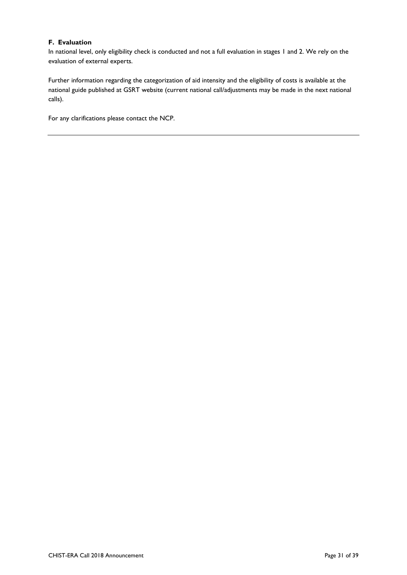#### **F. Evaluation**

In national level, only eligibility check is conducted and not a full evaluation in stages 1 and 2. We rely on the evaluation of external experts.

Further information regarding the categorization of aid intensity and the eligibility of costs is available at the national guide published at GSRT website (current national call/adjustments may be made in the next national calls).

For any clarifications please contact the NCP.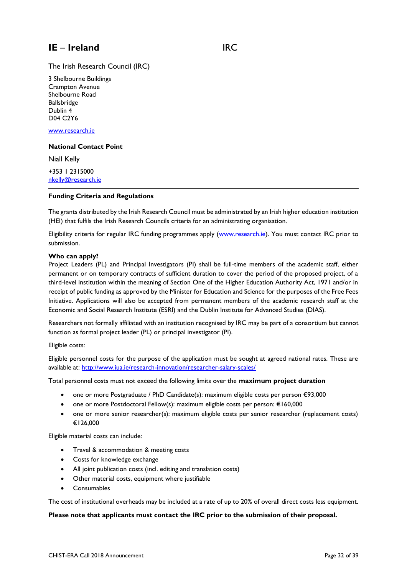<span id="page-31-0"></span>The Irish Research Council (IRC)

3 Shelbourne Buildings Crampton Avenue Shelbourne Road Ballsbridge Dublin 4 D04 C2Y6

[www.research.ie](http://www.research.ie/)

#### **National Contact Point**

Niall Kelly

+353 1 2315000 [nkelly@research.ie](mailto:nkelly@research.ie)

#### **Funding Criteria and Regulations**

The grants distributed by the Irish Research Council must be administrated by an Irish higher education institution (HEI) that fulfils the Irish Research Councils criteria for an administrating organisation.

Eligibility criteria for regular IRC funding programmes apply [\(www.research.ie\)](http://www.research.ie/). You must contact IRC prior to submission.

#### **Who can apply?**

Project Leaders (PL) and Principal Investigators (PI) shall be full-time members of the academic staff, either permanent or on temporary contracts of sufficient duration to cover the period of the proposed project, of a third-level institution within the meaning of Section One of the Higher Education Authority Act, 1971 and/or in receipt of public funding as approved by the Minister for Education and Science for the purposes of the Free Fees Initiative. Applications will also be accepted from permanent members of the academic research staff at the Economic and Social Research Institute (ESRI) and the Dublin Institute for Advanced Studies (DIAS).

Researchers not formally affiliated with an institution recognised by IRC may be part of a consortium but cannot function as formal project leader (PL) or principal investigator (PI).

#### Eligible costs:

Eligible personnel costs for the purpose of the application must be sought at agreed national rates. These are available at:<http://www.iua.ie/research-innovation/researcher-salary-scales/>

Total personnel costs must not exceed the following limits over the **maximum project duration**

- one or more Postgraduate / PhD Candidate(s): maximum eligible costs per person €93,000
- one or more Postdoctoral Fellow(s): maximum eligible costs per person: €160,000
- one or more senior researcher(s): maximum eligible costs per senior researcher (replacement costs) €126,000

Eligible material costs can include:

- **•** Travel & accommodation & meeting costs
- Costs for knowledge exchange
- All joint publication costs (incl. editing and translation costs)
- Other material costs, equipment where justifiable
- Consumables

The cost of institutional overheads may be included at a rate of up to 20% of overall direct costs less equipment.

#### **Please note that applicants must contact the IRC prior to the submission of their proposal.**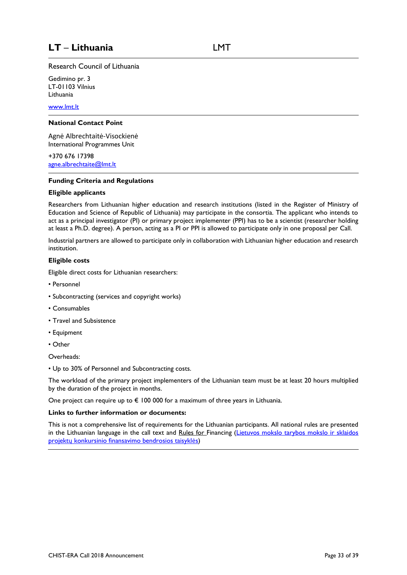### <span id="page-32-0"></span>**LT** – **Lithuania** LMT

Research Council of Lithuania

Gedimino pr. 3 LT-01103 Vilnius Lithuania

[www.lmt.lt](http://www.lmt.lt/)

#### **National Contact Point**

Agnė Albrechtaitė-Visockienė International Programmes Unit

+370 676 17398 [agne.albrechtaite@lmt.lt](mailto:agne.albrechtaite@lmt.lt)

#### **Funding Criteria and Regulations**

#### **Eligible applicants**

Researchers from Lithuanian higher education and research institutions (listed in the Register of Ministry of Education and Science of Republic of Lithuania) may participate in the consortia. The applicant who intends to act as a principal investigator (PI) or primary project implementer (PPI) has to be a scientist (researcher holding at least a Ph.D. degree). A person, acting as a PI or PPI is allowed to participate only in one proposal per Call.

Industrial partners are allowed to participate only in collaboration with Lithuanian higher education and research institution.

#### **Eligible costs**

Eligible direct costs for Lithuanian researchers:

- Personnel
- Subcontracting (services and copyright works)
- Consumables
- Travel and Subsistence
- Equipment
- Other

Overheads:

• Up to 30% of Personnel and Subcontracting costs.

The workload of the primary project implementers of the Lithuanian team must be at least 20 hours multiplied by the duration of the project in months.

One project can require up to  $\epsilon$  100 000 for a maximum of three years in Lithuania.

#### **Links to further information or documents:**

This is not a comprehensive list of requirements for the Lithuanian participants. All national rules are presented in the Lithuanian language in the call text and Rules for Financing (Lietuvos mokslo tarybos mokslo ir sklaidos projektų [konkursinio finansavimo bendrosios taisykl](https://www.e-tar.lt/portal/lt/legalAct/ec3460a004fe11e8b3e7ba9cffd043b1)ės)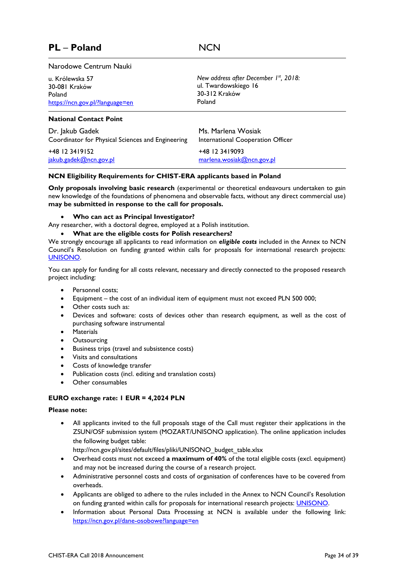### <span id="page-33-0"></span>**PL** – **Poland** NCN

#### Narodowe Centrum Nauki

u. Królewska 57 30-081 Kraków Poland <https://ncn.gov.pl/?language=en>

#### *New address after December 1 st, 2018:* ul. Twardowskiego 16 30-312 Kraków Poland

#### **National Contact Point**

Dr. Jakub Gadek Coordinator for Physical Sciences and Engineering

+48 12 3419152 [jakub.gadek@ncn.gov.pl](mailto:jakub.gadek@ncn.gov.pl)

Ms. Marlena Wosiak International Cooperation Officer

+48 12 3419093 [marlena.wosiak@ncn.gov.pl](mailto:marlena.wosiak@ncn.gov.pl)

#### **NCN Eligibility Requirements for CHIST-ERA applicants based in Poland**

**Only proposals involving basic research** (experimental or theoretical endeavours undertaken to gain new knowledge of the foundations of phenomena and observable facts, without any direct commercial use) **may be submitted in response to the call for proposals.** 

#### **Who can act as Principal Investigator?**

Any researcher, with a doctoral degree, employed at a Polish institution.

#### **What are the eligible costs for Polish researchers?**

We strongly encourage all applicants to read information on *eligible costs* included in the Annex to NCN Council's Resolution on funding granted within calls for proposals for international research projects: [UNISONO.](https://www.ncn.gov.pl/sites/default/files/pliki/uchwaly-rady/2018/uchwala_UNISONO_pazdziernik_2018.pdf)

You can apply for funding for all costs relevant, necessary and directly connected to the proposed research project including:

- Personnel costs:
- Equipment the cost of an individual item of equipment must not exceed PLN 500 000;
- Other costs such as:
- Devices and software: costs of devices other than research equipment, as well as the cost of purchasing software instrumental
- **•** Materials
- **•** Outsourcing
- Business trips (travel and subsistence costs)
- Visits and consultations
- Costs of knowledge transfer
- Publication costs (incl. editing and translation costs)
- Other consumables

#### **EURO exchange rate: 1 EUR = 4,2024 PLN**

#### **Please note:**

 All applicants invited to the full proposals stage of the Call must register their applications in the ZSUN/OSF submission system (MOZART/UNISONO application). The online application includes the following budget table:

http://ncn.gov.pl/sites/default/files/pliki/UNISONO\_budget\_table.xlsx

- Overhead costs must not exceed **a maximum of 40%** of the total eligible costs (excl. equipment) and may not be increased during the course of a research project.
- Administrative personnel costs and costs of organisation of conferences have to be covered from overheads.
- Applicants are obliged to adhere to the rules included in the Annex to NCN Council's Resolution on funding granted within calls for proposals for international research projects: [UNISONO.](https://www.ncn.gov.pl/sites/default/files/pliki/uchwaly-rady/2018/uchwala_UNISONO_pazdziernik_2018.pdf)
- Information about Personal Data Processing at NCN is available under the following link: <https://ncn.gov.pl/dane-osobowe?language=en>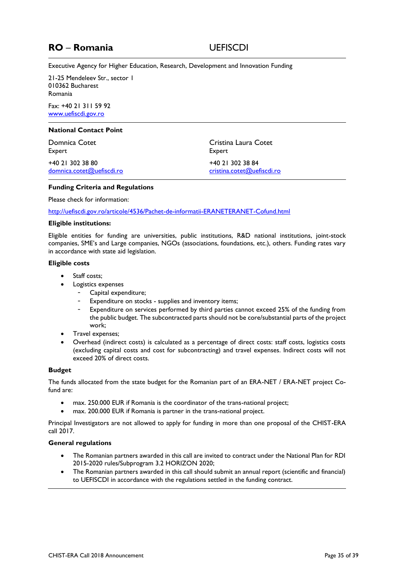### <span id="page-34-0"></span>**RO** – **Romania** UEFISCDI

Executive Agency for Higher Education, Research, Development and Innovation Funding

21-25 Mendeleev Str., sector 1 010362 Bucharest Romania

Fax: +40 21 311 59 92 [www.uefiscdi.gov.ro](http://www.uefiscdi.gov.ro/)

#### **National Contact Point**

Domnica Cotet Expert

+40 21 302 38 80 [domnica.cotet@uefiscdi.ro](mailto:domnica.cotet@uefiscdi.ro) Cristina Laura Cotet Expert +40 21 302 38 84 [cristina.cotet@uefiscdi.ro](mailto:cristina.cotet@uefiscdi.ro)

#### **Funding Criteria and Regulations**

Please check for information:

<http://uefiscdi.gov.ro/articole/4536/Pachet-de-informatii-ERANETERANET-Cofund.html>

#### **Eligible institutions:**

Eligible entities for funding are universities, public institutions, R&D national institutions, joint-stock companies, SME's and Large companies, NGOs (associations, foundations, etc.), others. Funding rates vary in accordance with state aid legislation.

#### **Eligible costs**

- Staff costs;
- Logistics expenses
	- Capital expenditure;
	- Expenditure on stocks supplies and inventory items;
	- Expenditure on services performed by third parties cannot exceed 25% of the funding from the public budget. The subcontracted parts should not be core/substantial parts of the project work;
- Travel expenses;
- Overhead (indirect costs) is calculated as a percentage of direct costs: staff costs, logistics costs (excluding capital costs and cost for subcontracting) and travel expenses. Indirect costs will not exceed 20% of direct costs.

#### **Budget**

The funds allocated from the state budget for the Romanian part of an ERA-NET / ERA-NET project Cofund are:

- max. 250.000 EUR if Romania is the coordinator of the trans-national project;
- max. 200.000 EUR if Romania is partner in the trans-national project.

Principal Investigators are not allowed to apply for funding in more than one proposal of the CHIST-ERA call 2017.

#### **General regulations**

- The Romanian partners awarded in this call are invited to contract under the National Plan for RDI 2015-2020 rules/Subprogram 3.2 HORIZON 2020;
- The Romanian partners awarded in this call should submit an annual report (scientific and financial) to UEFISCDI in accordance with the regulations settled in the funding contract.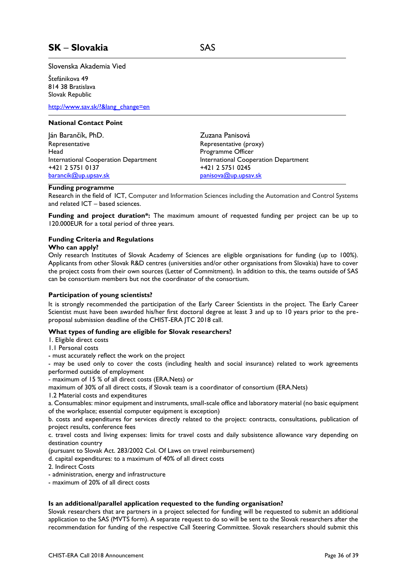<span id="page-35-0"></span>Slovenska Akademia Vied

Štefánikova 49 814 38 Bratislava Slovak Republic

[http://www.sav.sk/?&lang\\_change=en](http://www.sav.sk/?&lang_change=en)

#### **National Contact Point**

Ján Barančík, PhD. Representative **Head** International Cooperation Department +421 2 5751 0137 [barancik@up.upsav.sk](mailto:barancik@up.upsav.sk)

Zuzana Panisová Representative (proxy) Programme Officer International Cooperation Department +421 2 5751 0245 [panisova@up.upsav.sk](mailto:panisova@up.upsav.sk)

#### **Funding programme**

Research in the field of ICT, Computer and Information Sciences including the Automation and Control Systems and related ICT – based sciences.

**Funding and project duration\*:** The maximum amount of requested funding per project can be up to 120.000EUR for a total period of three years.

#### **Funding Criteria and Regulations**

#### **Who can apply?**

Only research Institutes of Slovak Academy of Sciences are eligible organisations for funding (up to 100%). Applicants from other Slovak R&D centres (universities and/or other organisations from Slovakia) have to cover the project costs from their own sources (Letter of Commitment). In addition to this, the teams outside of SAS can be consortium members but not the coordinator of the consortium.

#### **Participation of young scientists?**

It is strongly recommended the participation of the Early Career Scientists in the project. The Early Career Scientist must have been awarded his/her first doctoral degree at least 3 and up to 10 years prior to the preproposal submission deadline of the CHIST-ERA JTC 2018 call.

#### **What types of funding are eligible for Slovak researchers?**

1. Eligible direct costs

- 1.1 Personal costs
- must accurately reflect the work on the project

- may be used only to cover the costs (including health and social insurance) related to work agreements performed outside of employment

- maximum of 15 % of all direct costs (ERA.Nets) or

maximum of 30% of all direct costs, if Slovak team is a coordinator of consortium (ERA.Nets)

1.2 Material costs and expenditures

a. Consumables: minor equipment and instruments, small-scale office and laboratory material (no basic equipment of the workplace; essential computer equipment is exception)

b. costs and expenditures for services directly related to the project: contracts, consultations, publication of project results, conference fees

c. travel costs and living expenses: limits for travel costs and daily subsistence allowance vary depending on destination country

(pursuant to Slovak Act. 283/2002 Col. Of Laws on travel reimbursement)

d. capital expenditures: to a maximum of 40% of all direct costs

- 2. Indirect Costs
- administration, energy and infrastructure
- maximum of 20% of all direct costs

#### **Is an additional/parallel application requested to the funding organisation?**

Slovak researchers that are partners in a project selected for funding will be requested to submit an additional application to the SAS (MVTS form). A separate request to do so will be sent to the Slovak researchers after the recommendation for funding of the respective Call Steering Committee. Slovak researchers should submit this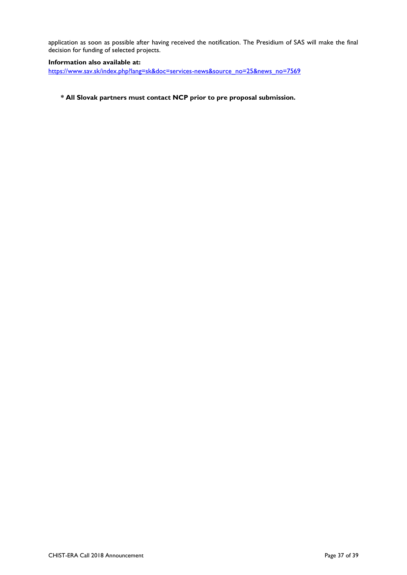application as soon as possible after having received the notification. The Presidium of SAS will make the final decision for funding of selected projects.

#### **Information also available at:**

[https://www.sav.sk/index.php?lang=sk&doc=services-news&source\\_no=25&news\\_no=7569](https://www.sav.sk/index.php?lang=sk&doc=services-news&source_no=25&news_no=7569)

### **\* All Slovak partners must contact NCP prior to pre proposal submission.**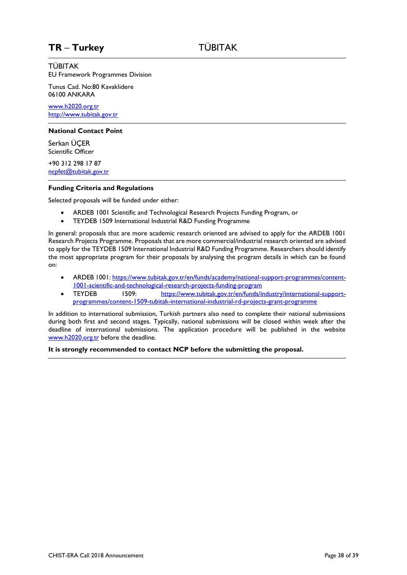### <span id="page-37-0"></span>**TR** – **Turkey** TÜBITAK

#### TÜBITAK

EU Framework Programmes Division

Tunus Cad. No:80 Kavaklidere 06100 ANKARA

[www.h2020.org.tr](http://www.h2020.org.tr/) [http://www.tubitak.gov.tr](http://www.tubitak.gov.tr/)

#### **National Contact Point**

Serkan ÜÇER Scientific Officer

+90 312 298 17 87 [ncpfet@tubitak.gov.tr](mailto:ncpfet@tubitak.gov.tr) 

#### **Funding Criteria and Regulations**

Selected proposals will be funded under either:

- ARDEB 1001 Scientific and Technological Research Projects Funding Program, or
- TEYDEB 1509 International Industrial R&D Funding Programme

In general: proposals that are more academic research oriented are advised to apply for the ARDEB 1001 Research Projects Programme. Proposals that are more commercial/industrial research oriented are advised to apply for the TEYDEB 1509 International Industrial R&D Funding Programme. Researchers should identify the most appropriate program for their proposals by analysing the program details in which can be found on:

- ARDEB 1001[: https://www.tubitak.gov.tr/en/funds/academy/national-support-programmes/content-](https://www.tubitak.gov.tr/en/funds/academy/national-support-programmes/content-1001-scientific-and-technological-research-projects-funding-program)[1001-scientific-and-technological-research-projects-funding-program](https://www.tubitak.gov.tr/en/funds/academy/national-support-programmes/content-1001-scientific-and-technological-research-projects-funding-program)
- TEYDEB 1509: [https://www.tubitak.gov.tr/en/funds/industry/international-support](https://www.tubitak.gov.tr/en/funds/industry/international-support-programmes/content-1509-tubitak-international-industrial-rd-projects-grant-programme)[programmes/content-1509-tubitak-international-industrial-rd-projects-grant-programme](https://www.tubitak.gov.tr/en/funds/industry/international-support-programmes/content-1509-tubitak-international-industrial-rd-projects-grant-programme)

In addition to international submission, Turkish partners also need to complete their national submissions during both first and second stages. Typically, national submissions will be closed within week after the deadline of international submissions. The application procedure will be published in the website [www.h2020.org.tr](http://www.h2020.org.tr/) before the deadline.

**It is strongly recommended to contact NCP before the submitting the proposal.**